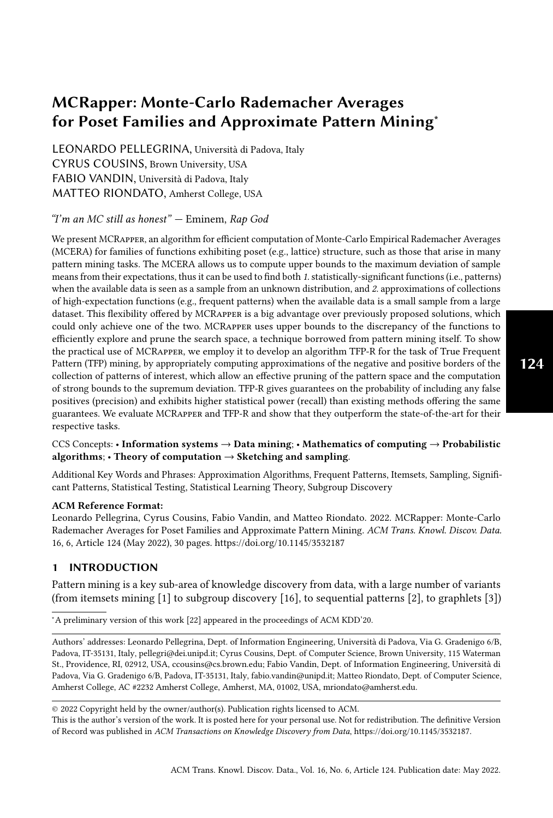# MCRapper: Monte-Carlo Rademacher Averages for Poset Families and Approximate Pattern Mining<sup>∗</sup>

[LEONARDO PELLEGRINA,](HTTPS://ORCID.ORG/0000-0002-6601-5526) Università di Padova, Italy [CYRUS COUSINS,](HTTPS://ORCID.ORG/0000-0002-1691-0282) Brown University, USA [FABIO VANDIN,](HTTPS://ORCID.ORG/0000-0003-2244-2320) Università di Padova, Italy [MATTEO RIONDATO,](HTTPS://ORCID.ORG/0000-0003-2523-4420) Amherst College, USA

## "I'm an MC still as honest" — Eminem, Rap God

We present MCRapper, an algorithm for efficient computation of Monte-Carlo Empirical Rademacher Averages (MCERA) for families of functions exhibiting poset (e.g., lattice) structure, such as those that arise in many pattern mining tasks. The MCERA allows us to compute upper bounds to the maximum deviation of sample means from their expectations, thus it can be used to find both 1. statistically-significant functions (i.e., patterns) when the available data is seen as a sample from an unknown distribution, and 2. approximations of collections of high-expectation functions (e.g., frequent patterns) when the available data is a small sample from a large dataset. This flexibility offered by MCRapper is a big advantage over previously proposed solutions, which could only achieve one of the two. MCRapper uses upper bounds to the discrepancy of the functions to efficiently explore and prune the search space, a technique borrowed from pattern mining itself. To show the practical use of MCRapper, we employ it to develop an algorithm TFP-R for the task of True Frequent Pattern (TFP) mining, by appropriately computing approximations of the negative and positive borders of the collection of patterns of interest, which allow an effective pruning of the pattern space and the computation of strong bounds to the supremum deviation. TFP-R gives guarantees on the probability of including any false positives (precision) and exhibits higher statistical power (recall) than existing methods offering the same guarantees. We evaluate MCRapper and TFP-R and show that they outperform the state-of-the-art for their respective tasks.

# CCS Concepts: • Information systems  $\rightarrow$  Data mining; • Mathematics of computing  $\rightarrow$  Probabilistic algorithms;  $\cdot$  Theory of computation  $\rightarrow$  Sketching and sampling.

Additional Key Words and Phrases: Approximation Algorithms, Frequent Patterns, Itemsets, Sampling, Significant Patterns, Statistical Testing, Statistical Learning Theory, Subgroup Discovery

#### ACM Reference Format:

Leonardo Pellegrina, Cyrus Cousins, Fabio Vandin, and Matteo Riondato. 2022. MCRapper: Monte-Carlo Rademacher Averages for Poset Families and Approximate Pattern Mining. ACM Trans. Knowl. Discov. Data. 16, 6, Article 124 (May 2022), [30](#page-29-0) pages.<https://doi.org/10.1145/3532187>

# <span id="page-0-0"></span>1 INTRODUCTION

Pattern mining is a key sub-area of knowledge discovery from data, with a large number of variants (from itemsets mining [\[1\]](#page-26-0) to subgroup discovery [\[16\]](#page-26-1), to sequential patterns [\[2\]](#page-26-2), to graphlets [\[3\]](#page-26-3))

<sup>∗</sup>A preliminary version of this work [\[22\]](#page-27-0) appeared in the proceedings of ACM KDD'20.

Authors' addresses: [Leonardo Pellegrina,](https://orcid.org/0000-0002-6601-5526) Dept. of Information Engineering, Università di Padova, Via G. Gradenigo 6/B, Padova, IT-35131, Italy, pellegri@dei.unipd.it; [Cyrus Cousins,](https://orcid.org/0000-0002-1691-0282) Dept. of Computer Science, Brown University, 115 Waterman St., Providence, RI, 02912, USA, ccousins@cs.brown.edu; [Fabio Vandin,](https://orcid.org/0000-0003-2244-2320) Dept. of Information Engineering, Università di Padova, Via G. Gradenigo 6/B, Padova, IT-35131, Italy, fabio.vandin@unipd.it; [Matteo Riondato,](https://orcid.org/0000-0003-2523-4420) Dept. of Computer Science, Amherst College, AC #2232 Amherst College, Amherst, MA, 01002, USA, mriondato@amherst.edu.

© 2022 Copyright held by the owner/author(s). Publication rights licensed to ACM.

This is the author's version of the work. It is posted here for your personal use. Not for redistribution. The definitive Version of Record was published in ACM Transactions on Knowledge Discovery from Data, [https://doi.org/10.1145/3532187.](https://doi.org/10.1145/3532187)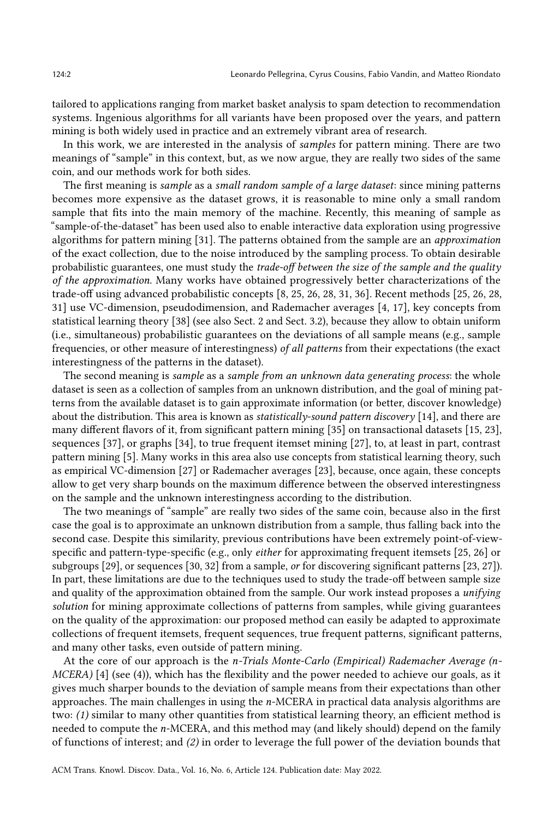tailored to applications ranging from market basket analysis to spam detection to recommendation systems. Ingenious algorithms for all variants have been proposed over the years, and pattern mining is both widely used in practice and an extremely vibrant area of research.

In this work, we are interested in the analysis of samples for pattern mining. There are two meanings of "sample" in this context, but, as we now argue, they are really two sides of the same coin, and our methods work for both sides.

The first meaning is sample as a small random sample of a large dataset: since mining patterns becomes more expensive as the dataset grows, it is reasonable to mine only a small random sample that fits into the main memory of the machine. Recently, this meaning of sample as "sample-of-the-dataset" has been used also to enable interactive data exploration using progressive algorithms for pattern mining [\[31\]](#page-27-1). The patterns obtained from the sample are an approximation of the exact collection, due to the noise introduced by the sampling process. To obtain desirable probabilistic guarantees, one must study the *trade-off between the size of the sample and the quality* of the approximation. Many works have obtained progressively better characterizations of the trade-off using advanced probabilistic concepts [\[8,](#page-26-4) [25,](#page-27-2) [26,](#page-27-3) [28,](#page-27-4) [31,](#page-27-1) [36\]](#page-27-5). Recent methods [\[25,](#page-27-2) [26,](#page-27-3) [28,](#page-27-4) [31\]](#page-27-1) use VC-dimension, pseudodimension, and Rademacher averages [\[4,](#page-26-5) [17\]](#page-26-6), key concepts from statistical learning theory [\[38\]](#page-27-6) (see also Sect. [2](#page-2-0) and Sect. [3.2\)](#page-6-0), because they allow to obtain uniform (i.e., simultaneous) probabilistic guarantees on the deviations of all sample means (e.g., sample frequencies, or other measure of interestingness) of all patterns from their expectations (the exact interestingness of the patterns in the dataset).

The second meaning is *sample* as a *sample from an unknown data generating process*: the whole dataset is seen as a collection of samples from an unknown distribution, and the goal of mining patterns from the available dataset is to gain approximate information (or better, discover knowledge) about the distribution. This area is known as *statistically-sound pattern discovery* [\[14\]](#page-26-7), and there are many different flavors of it, from significant pattern mining [\[35\]](#page-27-7) on transactional datasets [\[15,](#page-26-8) [23\]](#page-27-8), sequences [\[37\]](#page-27-9), or graphs [\[34\]](#page-27-10), to true frequent itemset mining [\[27\]](#page-27-11), to, at least in part, contrast pattern mining [\[5\]](#page-26-9). Many works in this area also use concepts from statistical learning theory, such as empirical VC-dimension [\[27\]](#page-27-11) or Rademacher averages [\[23\]](#page-27-8), because, once again, these concepts allow to get very sharp bounds on the maximum difference between the observed interestingness on the sample and the unknown interestingness according to the distribution.

The two meanings of "sample" are really two sides of the same coin, because also in the first case the goal is to approximate an unknown distribution from a sample, thus falling back into the second case. Despite this similarity, previous contributions have been extremely point-of-viewspecific and pattern-type-specific (e.g., only either for approximating frequent itemsets [\[25,](#page-27-2) [26\]](#page-27-3) or subgroups [\[29\]](#page-27-12), or sequences [\[30,](#page-27-13) [32\]](#page-27-14) from a sample, or for discovering significant patterns [\[23,](#page-27-8) [27\]](#page-27-11)). In part, these limitations are due to the techniques used to study the trade-off between sample size and quality of the approximation obtained from the sample. Our work instead proposes a unifying solution for mining approximate collections of patterns from samples, while giving guarantees on the quality of the approximation: our proposed method can easily be adapted to approximate collections of frequent itemsets, frequent sequences, true frequent patterns, significant patterns, and many other tasks, even outside of pattern mining.

At the core of our approach is the *n*-Trials Monte-Carlo (Empirical) Rademacher Average ( $n$ -MCERA) [\[4\]](#page-26-5) (see [\(4\)](#page-7-0)), which has the flexibility and the power needed to achieve our goals, as it gives much sharper bounds to the deviation of sample means from their expectations than other approaches. The main challenges in using the  $n$ -MCERA in practical data analysis algorithms are two: (1) similar to many other quantities from statistical learning theory, an efficient method is needed to compute the  $n$ -MCERA, and this method may (and likely should) depend on the family of functions of interest; and (2) in order to leverage the full power of the deviation bounds that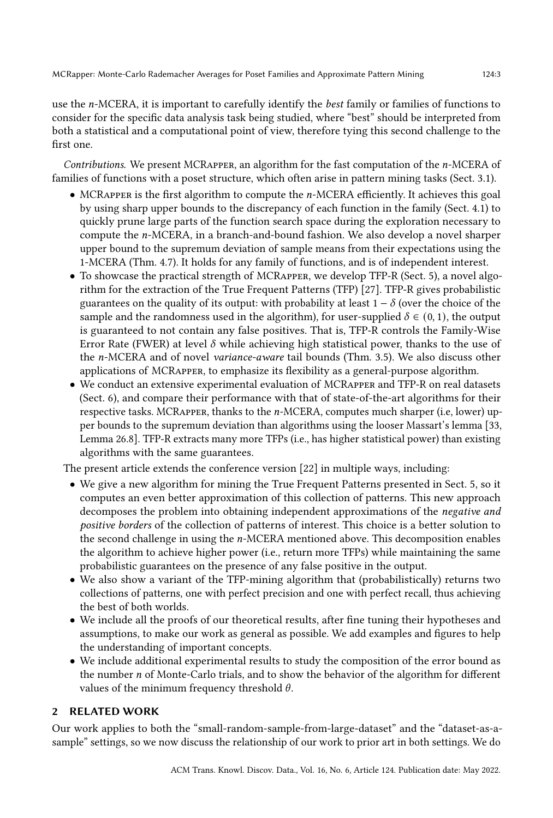use the *n*-MCERA, it is important to carefully identify the *best* family or families of functions to consider for the specific data analysis task being studied, where "best" should be interpreted from both a statistical and a computational point of view, therefore tying this second challenge to the first one.

Contributions. We present MCRAPPER, an algorithm for the fast computation of the n-MCERA of families of functions with a poset structure, which often arise in pattern mining tasks (Sect. [3.1\)](#page-5-0).

- $\bullet$  MCRAPPER is the first algorithm to compute the  $n$ -MCERA efficiently. It achieves this goal by using sharp upper bounds to the discrepancy of each function in the family (Sect. [4.1\)](#page-9-0) to quickly prune large parts of the function search space during the exploration necessary to compute the *n*-MCERA, in a branch-and-bound fashion. We also develop a novel sharper upper bound to the supremum deviation of sample means from their expectations using the 1-MCERA (Thm. [4.7\)](#page-16-0). It holds for any family of functions, and is of independent interest.
- To showcase the practical strength of MCRapper, we develop TFP-R (Sect. [5\)](#page-17-0), a novel algorithm for the extraction of the True Frequent Patterns (TFP) [\[27\]](#page-27-11). TFP-R gives probabilistic guarantees on the quality of its output: with probability at least  $1 - \delta$  (over the choice of the sample and the randomness used in the algorithm), for user-supplied  $\delta \in (0, 1)$ , the output is guaranteed to not contain any false positives. That is, TFP-R controls the Family-Wise Error Rate (FWER) at level  $\delta$  while achieving high statistical power, thanks to the use of the *n*-MCERA and of novel *variance-aware* tail bounds (Thm. [3.5\)](#page-8-0). We also discuss other applications of MCRapper, to emphasize its flexibility as a general-purpose algorithm.
- We conduct an extensive experimental evaluation of MCRapper and TFP-R on real datasets (Sect. [6\)](#page-21-0), and compare their performance with that of state-of-the-art algorithms for their respective tasks. MCRAPPER, thanks to the  $n$ -MCERA, computes much sharper (i.e, lower) upper bounds to the supremum deviation than algorithms using the looser Massart's lemma [\[33,](#page-27-15) Lemma 26.8]. TFP-R extracts many more TFPs (i.e., has higher statistical power) than existing algorithms with the same guarantees.

The present article extends the conference version [\[22\]](#page-27-0) in multiple ways, including:

- We give a new algorithm for mining the True Frequent Patterns presented in Sect. [5,](#page-17-0) so it computes an even better approximation of this collection of patterns. This new approach decomposes the problem into obtaining independent approximations of the negative and positive borders of the collection of patterns of interest. This choice is a better solution to the second challenge in using the  $n$ -MCERA mentioned above. This decomposition enables the algorithm to achieve higher power (i.e., return more TFPs) while maintaining the same probabilistic guarantees on the presence of any false positive in the output.
- We also show a variant of the TFP-mining algorithm that (probabilistically) returns two collections of patterns, one with perfect precision and one with perfect recall, thus achieving the best of both worlds.
- We include all the proofs of our theoretical results, after fine tuning their hypotheses and assumptions, to make our work as general as possible. We add examples and figures to help the understanding of important concepts.
- We include additional experimental results to study the composition of the error bound as the number  $n$  of Monte-Carlo trials, and to show the behavior of the algorithm for different values of the minimum frequency threshold  $\theta$ .

# <span id="page-2-0"></span>2 RELATED WORK

Our work applies to both the "small-random-sample-from-large-dataset" and the "dataset-as-asample" settings, so we now discuss the relationship of our work to prior art in both settings. We do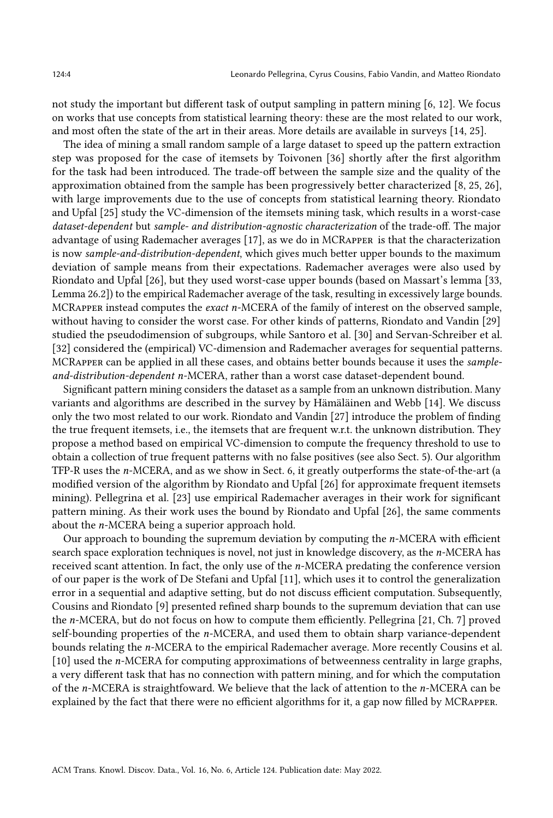not study the important but different task of output sampling in pattern mining [\[6,](#page-26-10) [12\]](#page-26-11). We focus on works that use concepts from statistical learning theory: these are the most related to our work, and most often the state of the art in their areas. More details are available in surveys [\[14,](#page-26-7) [25\]](#page-27-2).

The idea of mining a small random sample of a large dataset to speed up the pattern extraction step was proposed for the case of itemsets by Toivonen [\[36\]](#page-27-5) shortly after the first algorithm for the task had been introduced. The trade-off between the sample size and the quality of the approximation obtained from the sample has been progressively better characterized [\[8,](#page-26-4) [25,](#page-27-2) [26\]](#page-27-3), with large improvements due to the use of concepts from statistical learning theory. Riondato and Upfal [\[25\]](#page-27-2) study the VC-dimension of the itemsets mining task, which results in a worst-case dataset-dependent but sample- and distribution-agnostic characterization of the trade-off. The major advantage of using Rademacher averages [\[17\]](#page-26-6), as we do in MCRapper is that the characterization is now sample-and-distribution-dependent, which gives much better upper bounds to the maximum deviation of sample means from their expectations. Rademacher averages were also used by Riondato and Upfal [\[26\]](#page-27-3), but they used worst-case upper bounds (based on Massart's lemma [\[33,](#page-27-15) Lemma 26.2]) to the empirical Rademacher average of the task, resulting in excessively large bounds. MCRAPPER instead computes the *exact*  $n$ -MCERA of the family of interest on the observed sample, without having to consider the worst case. For other kinds of patterns, Riondato and Vandin [\[29\]](#page-27-12) studied the pseudodimension of subgroups, while Santoro et al. [\[30\]](#page-27-13) and Servan-Schreiber et al. [\[32\]](#page-27-14) considered the (empirical) VC-dimension and Rademacher averages for sequential patterns. MCRapper can be applied in all these cases, and obtains better bounds because it uses the sample $and-distribution-dependent n-MCERA$ , rather than a worst case dataset-dependent bound.

Significant pattern mining considers the dataset as a sample from an unknown distribution. Many variants and algorithms are described in the survey by Hämäläinen and Webb [\[14\]](#page-26-7). We discuss only the two most related to our work. Riondato and Vandin [\[27\]](#page-27-11) introduce the problem of finding the true frequent itemsets, i.e., the itemsets that are frequent w.r.t. the unknown distribution. They propose a method based on empirical VC-dimension to compute the frequency threshold to use to obtain a collection of true frequent patterns with no false positives (see also Sect. [5\)](#page-17-0). Our algorithm TFP-R uses the  $n$ -MCERA, and as we show in Sect. [6,](#page-21-0) it greatly outperforms the state-of-the-art (a modified version of the algorithm by Riondato and Upfal [\[26\]](#page-27-3) for approximate frequent itemsets mining). Pellegrina et al. [\[23\]](#page-27-8) use empirical Rademacher averages in their work for significant pattern mining. As their work uses the bound by Riondato and Upfal [\[26\]](#page-27-3), the same comments about the  $n$ -MCERA being a superior approach hold.

Our approach to bounding the supremum deviation by computing the  $n$ -MCERA with efficient search space exploration techniques is novel, not just in knowledge discovery, as the  $n$ -MCERA has received scant attention. In fact, the only use of the  $n$ -MCERA predating the conference version of our paper is the work of De Stefani and Upfal [\[11\]](#page-26-12), which uses it to control the generalization error in a sequential and adaptive setting, but do not discuss efficient computation. Subsequently, Cousins and Riondato [\[9\]](#page-26-13) presented refined sharp bounds to the supremum deviation that can use the  $n$ -MCERA, but do not focus on how to compute them efficiently. Pellegrina [\[21,](#page-27-16) Ch. 7] proved self-bounding properties of the  $n$ -MCERA, and used them to obtain sharp variance-dependent bounds relating the *n*-MCERA to the empirical Rademacher average. More recently Cousins et al. [\[10\]](#page-26-14) used the *n*-MCERA for computing approximations of betweenness centrality in large graphs, a very different task that has no connection with pattern mining, and for which the computation of the  $n$ -MCERA is straightfoward. We believe that the lack of attention to the  $n$ -MCERA can be explained by the fact that there were no efficient algorithms for it, a gap now filled by MCRapper.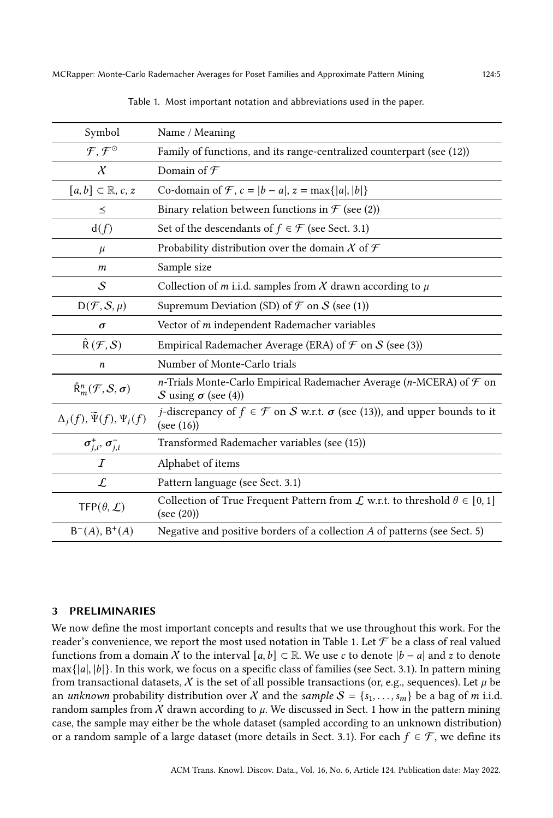<span id="page-4-0"></span>

| Symbol                                            | Name / Meaning                                                                                                     |  |  |
|---------------------------------------------------|--------------------------------------------------------------------------------------------------------------------|--|--|
| $\mathcal{F}, \mathcal{F}^{\odot}$                | Family of functions, and its range-centralized counterpart (see (12))                                              |  |  |
| $\chi$                                            | Domain of ${\mathcal F}$                                                                                           |  |  |
| $[a, b] \subset \mathbb{R}, c, z$                 | Co-domain of F, $c =  b - a $ , $z = \max\{ a ,  b \}$                                                             |  |  |
| $\leq$                                            | Binary relation between functions in $\mathcal F$ (see (2))                                                        |  |  |
| d(f)                                              | Set of the descendants of $f \in \mathcal{F}$ (see Sect. 3.1)                                                      |  |  |
| $\mu$                                             | Probability distribution over the domain $\chi$ of $\mathcal F$                                                    |  |  |
| m                                                 | Sample size                                                                                                        |  |  |
| $\mathcal{S}_{0}$                                 | Collection of <i>m</i> i.i.d. samples from $\chi$ drawn according to $\mu$                                         |  |  |
| $D(F, S, \mu)$                                    | Supremum Deviation (SD) of $\mathcal F$ on $\mathcal S$ (see (1))                                                  |  |  |
| σ                                                 | Vector of m independent Rademacher variables                                                                       |  |  |
| $\hat{\mathsf{R}}(\mathcal{F},\mathcal{S})$       | Empirical Rademacher Average (ERA) of $\mathcal F$ on $\mathcal S$ (see (3))                                       |  |  |
| n                                                 | Number of Monte-Carlo trials                                                                                       |  |  |
| $\hat{R}_{m}^{n}(\mathcal{F},\mathcal{S},\sigma)$ | n-Trials Monte-Carlo Empirical Rademacher Average (n-MCERA) of $\mathcal F$ on<br>S using $\sigma$ (see (4))       |  |  |
| $\Delta_j(f), \widetilde{\Psi}(f), \Psi_j(f)$     | <i>j</i> -discrepancy of $f \in \mathcal{F}$ on S w.r.t. $\sigma$ (see (13)), and upper bounds to it<br>(see (16)) |  |  |
| $\sigma_{j,i}^+,\,\sigma_{j,i}^-$                 | Transformed Rademacher variables (see (15))                                                                        |  |  |
| $\mathcal{I}$                                     | Alphabet of items                                                                                                  |  |  |
| $\mathcal{L}$                                     | Pattern language (see Sect. 3.1)                                                                                   |  |  |
| TFP $(\theta, \mathcal{L})$                       | Collection of True Frequent Pattern from $\mathcal L$ w.r.t. to threshold $\theta \in [0,1]$<br>(see (20))         |  |  |
| $B^{-}(A), B^{+}(A)$                              | Negative and positive borders of a collection A of patterns (see Sect. 5)                                          |  |  |

Table 1. Most important notation and abbreviations used in the paper.

# 3 PRELIMINARIES

We now define the most important concepts and results that we use throughout this work. For the reader's convenience, we report the most used notation in Table [1.](#page-4-0) Let  $\mathcal F$  be a class of real valued functions from a domain X to the interval  $[a, b] \subset \mathbb{R}$ . We use c to denote  $|b - a|$  and z to denote  $max\{|a|, |b|\}$ . In this work, we focus on a specific class of families (see Sect. [3.1\)](#page-5-0). In pattern mining from transactional datasets, X is the set of all possible transactions (or, e.g., sequences). Let  $\mu$  be an *unknown* probability distribution over X and the *sample*  $S = \{s_1, \ldots, s_m\}$  be a bag of m i.i.d. random samples from  $X$  drawn according to  $\mu$ . We discussed in Sect. [1](#page-0-0) how in the pattern mining case, the sample may either be the whole dataset (sampled according to an unknown distribution) or a random sample of a large dataset (more details in Sect. [3.1\)](#page-5-0). For each  $f \in \mathcal{F}$ , we define its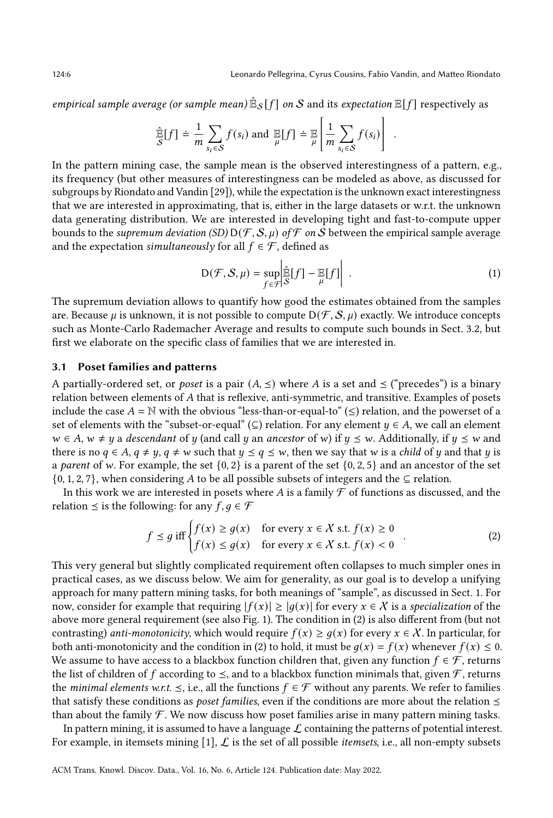.

empirical sample average (or sample mean)  $\mathbb{\hat{E}}_\mathcal{S}[f]$  on  $\mathcal S$  and its expectation  $\mathbb{E}[f]$  respectively as

$$
\hat{\mathbb{E}}[f] \doteq \frac{1}{m} \sum_{s_i \in \mathcal{S}} f(s_i) \text{ and } \mathbb{E}[f] \doteq \mathbb{E} \left[ \frac{1}{m} \sum_{s_i \in \mathcal{S}} f(s_i) \right]
$$

In the pattern mining case, the sample mean is the observed interestingness of a pattern, e.g., its frequency (but other measures of interestingness can be modeled as above, as discussed for subgroups by Riondato and Vandin [\[29\]](#page-27-12)), while the expectation is the unknown exact interestingness that we are interested in approximating, that is, either in the large datasets or w.r.t. the unknown data generating distribution. We are interested in developing tight and fast-to-compute upper bounds to the *supremum deviation* (SD)  $D(F, S, \mu)$  of F on S between the empirical sample average and the expectation *simultaneously* for all  $f \in \mathcal{F}$ , defined as

<span id="page-5-2"></span>
$$
D(\mathcal{F}, \mathcal{S}, \mu) = \sup_{f \in \mathcal{F}} \left| \widehat{\mathbb{E}}[f] - \mathbb{E}[f] \right|.
$$
 (1)

The supremum deviation allows to quantify how good the estimates obtained from the samples are. Because  $\mu$  is unknown, it is not possible to compute  $D(\mathcal{F}, \mathcal{S}, \mu)$  exactly. We introduce concepts such as Monte-Carlo Rademacher Average and results to compute such bounds in Sect. [3.2,](#page-6-0) but first we elaborate on the specific class of families that we are interested in.

## <span id="page-5-0"></span>3.1 Poset families and patterns

A partially-ordered set, or *poset* is a pair  $(A, \leq)$  where A is a set and  $\leq$  ("precedes") is a binary relation between elements of A that is reflexive, anti-symmetric, and transitive. Examples of posets include the case  $A = \mathbb{N}$  with the obvious "less-than-or-equal-to" ( $\leq$ ) relation, and the powerset of a set of elements with the "subset-or-equal" (⊆) relation. For any element  $\psi \in A$ , we call an element  $w \in A$ ,  $w \neq y$  a descendant of y (and call y an ancestor of w) if  $y \leq w$ . Additionally, if  $y \leq w$  and there is no  $q \in A$ ,  $q \neq y$ ,  $q \neq w$  such that  $y \leq q \leq w$ , then we say that w is a *child* of y and that y is a parent of w. For example, the set  $\{0, 2\}$  is a parent of the set  $\{0, 2, 5\}$  and an ancestor of the set  $\{0, 1, 2, 7\}$ , when considering A to be all possible subsets of integers and the  $\subseteq$  relation.

In this work we are interested in posets where A is a family  $\mathcal F$  of functions as discussed, and the relation  $\leq$  is the following: for any  $f, q \in \mathcal{F}$ 

<span id="page-5-1"></span>
$$
f \le g \text{ iff } \begin{cases} f(x) \ge g(x) & \text{for every } x \in \mathcal{X} \text{ s.t. } f(x) \ge 0 \\ f(x) \le g(x) & \text{for every } x \in \mathcal{X} \text{ s.t. } f(x) < 0 \end{cases} \tag{2}
$$

This very general but slightly complicated requirement often collapses to much simpler ones in practical cases, as we discuss below. We aim for generality, as our goal is to develop a unifying approach for many pattern mining tasks, for both meanings of "sample", as discussed in Sect. [1.](#page-0-0) For now, consider for example that requiring  $|f(x)| \ge |g(x)|$  for every  $x \in X$  is a specialization of the above more general requirement (see also Fig. [1\)](#page-6-1). The condition in [\(2\)](#page-5-1) is also different from (but not contrasting) anti-monotonicity, which would require  $f(x) \geq g(x)$  for every  $x \in X$ . In particular, for both anti-monotonicity and the condition in [\(2\)](#page-5-1) to hold, it must be  $q(x) = f(x)$  whenever  $f(x) \leq 0$ . We assume to have access to a blackbox function children that, given any function  $f \in \mathcal{F}$ , returns the list of children of f according to  $\leq$ , and to a blackbox function minimals that, given  $\mathcal F$ , returns the *minimal elements* w.r.t.  $\leq$ , i.e., all the functions  $f \in \mathcal{F}$  without any parents. We refer to families that satisfy these conditions as *poset families*, even if the conditions are more about the relation  $\leq$ than about the family  $\mathcal F$ . We now discuss how poset families arise in many pattern mining tasks.

In pattern mining, it is assumed to have a language  $\mathcal L$  containing the patterns of potential interest. For example, in itemsets mining [\[1\]](#page-26-0),  $\mathcal L$  is the set of all possible *itemsets*, i.e., all non-empty subsets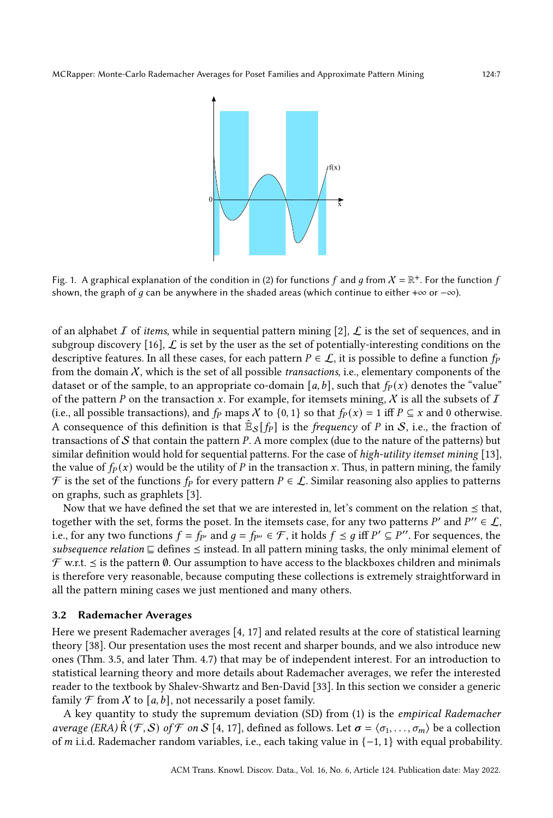<span id="page-6-1"></span>

Fig. 1. A graphical explanation of the condition in [\(2\)](#page-5-1) for functions  $f$  and  $g$  from  $X = \mathbb{R}^+$ . For the function  $f$ shown, the graph of q can be anywhere in the shaded areas (which continue to either + $\infty$  or  $-\infty$ ).

of an alphabet I of items, while in sequential pattern mining  $[2]$ , L is the set of sequences, and in subgroup discovery [\[16\]](#page-26-1),  $\mathcal{L}$  is set by the user as the set of potentially-interesting conditions on the descriptive features. In all these cases, for each pattern  $P \in \mathcal{L}$ , it is possible to define a function  $f_P$ from the domain  $X$ , which is the set of all possible *transactions*, i.e., elementary components of the dataset or of the sample, to an appropriate co-domain [a, b], such that  $f<sub>P</sub>(x)$  denotes the "value" of the pattern P on the transaction x. For example, for itemsets mining, X is all the subsets of  $I$ (i.e., all possible transactions), and  $f_P$  maps X to {0, 1} so that  $f_P(x) = 1$  iff  $P \subseteq x$  and 0 otherwise. A consequence of this definition is that  $\mathbb{\hat{E}}_{\mathcal{S}}[f_P]$  is the *frequency* of P in S, i.e., the fraction of transactions of  $S$  that contain the pattern  $P$ . A more complex (due to the nature of the patterns) but similar definition would hold for sequential patterns. For the case of high-utility itemset mining [\[13\]](#page-26-15), the value of  $f_P(x)$  would be the utility of P in the transaction x. Thus, in pattern mining, the family  $\mathcal F$  is the set of the functions  $f_P$  for every pattern  $P \in \mathcal L$ . Similar reasoning also applies to patterns on graphs, such as graphlets [\[3\]](#page-26-3).

Now that we have defined the set that we are interested in, let's comment on the relation  $\leq$  that, together with the set, forms the poset. In the itemsets case, for any two patterns P' and  $P'' \in \mathcal{L}$ , i.e., for any two functions  $f = f_{P'}$  and  $g = f_{P''} \in \mathcal{F}$ , it holds  $f \leq g$  iff  $P' \subseteq P''$ . For sequences, the subsequence relation  $\sqsubseteq$  defines  $\preceq$  instead. In all pattern mining tasks, the only minimal element of  $\mathcal F$  w.r.t.  $\leq$  is the pattern  $\emptyset$ . Our assumption to have access to the blackboxes children and minimals is therefore very reasonable, because computing these collections is extremely straightforward in all the pattern mining cases we just mentioned and many others.

#### <span id="page-6-0"></span>3.2 Rademacher Averages

Here we present Rademacher averages [\[4,](#page-26-5) [17\]](#page-26-6) and related results at the core of statistical learning theory [\[38\]](#page-27-6). Our presentation uses the most recent and sharper bounds, and we also introduce new ones (Thm. [3.5,](#page-8-0) and later Thm. [4.7\)](#page-16-0) that may be of independent interest. For an introduction to statistical learning theory and more details about Rademacher averages, we refer the interested reader to the textbook by Shalev-Shwartz and Ben-David [\[33\]](#page-27-15). In this section we consider a generic family  $\mathcal F$  from  $\mathcal X$  to [a, b], not necessarily a poset family.

A key quantity to study the supremum deviation (SD) from [\(1\)](#page-5-2) is the empirical Rademacher average (ERA)  $\hat{R}(F, S)$  of F on S [\[4,](#page-26-5) [17\]](#page-26-6), defined as follows. Let  $\sigma = \langle \sigma_1, \ldots, \sigma_m \rangle$  be a collection of *m* i.i.d. Rademacher random variables, i.e., each taking value in  $\{-1, 1\}$  with equal probability.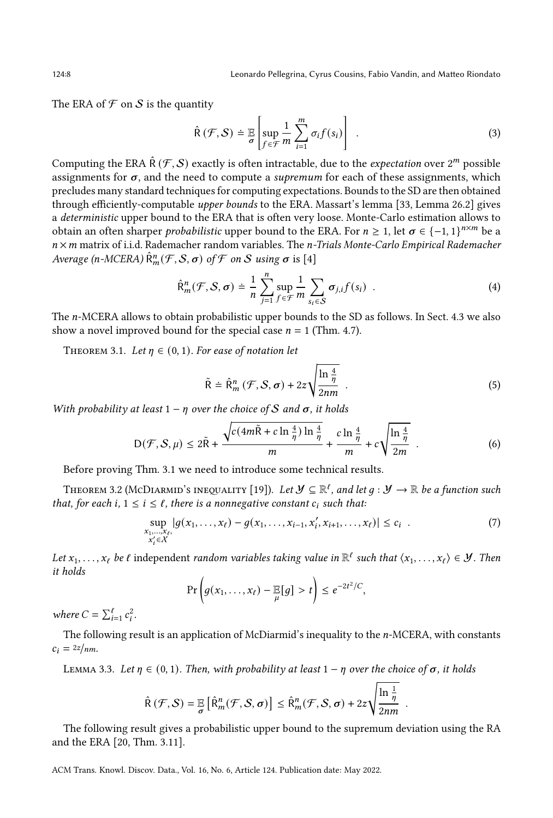124:8 Leonardo Pellegrina, Cyrus Cousins, Fabio Vandin, and Matteo Riondato

The ERA of  $\mathcal F$  on  $\mathcal S$  is the quantity

<span id="page-7-1"></span>
$$
\hat{\mathsf{R}}\left(\mathcal{F},\mathcal{S}\right)\doteq\mathbb{E}\left[\sup_{f\in\mathcal{F}}\frac{1}{m}\sum_{i=1}^{m}\sigma_{i}f(s_{i})\right].\tag{3}
$$

Computing the ERA  $\hat{\mathsf{R}}(\mathcal{F},\mathcal{S})$  exactly is often intractable, due to the *expectation* over 2<sup>m</sup> possible assignments for  $\sigma$ , and the need to compute a *supremum* for each of these assignments, which precludes many standard techniques for computing expectations. Bounds to the SD are then obtained through efficiently-computable upper bounds to the ERA. Massart's lemma [\[33,](#page-27-15) Lemma 26.2] gives a deterministic upper bound to the ERA that is often very loose. Monte-Carlo estimation allows to obtain an often sharper *probabilistic* upper bound to the ERA. For  $n \geq 1$ , let  $\sigma \in {\{-1,1\}}^{n \times m}$  be a  $n \times m$  matrix of i.i.d. Rademacher random variables. The *n*-Trials Monte-Carlo Empirical Rademacher Average (n-MCERA)  $\hat{R}_{m}^{n}(\mathcal{F}, \mathcal{S}, \sigma)$  of  $\mathcal F$  on  $\mathcal S$  using  $\sigma$  is [\[4\]](#page-26-5)

<span id="page-7-0"></span>
$$
\widehat{\mathsf{R}}_m^n(\mathcal{F}, \mathcal{S}, \sigma) \doteq \frac{1}{n} \sum_{j=1}^n \sup_{f \in \mathcal{F}} \frac{1}{m} \sum_{s_i \in \mathcal{S}} \sigma_{j,i} f(s_i) \quad . \tag{4}
$$

The n-MCERA allows to obtain probabilistic upper bounds to the SD as follows. In Sect. [4.3](#page-16-1) we also show a novel improved bound for the special case  $n = 1$  (Thm. [4.7\)](#page-16-0).

<span id="page-7-2"></span>THEOREM 3.1. Let  $\eta \in (0,1)$ . For ease of notation let

$$
\tilde{\mathsf{R}} = \hat{\mathsf{R}}_m^n \left( \mathcal{F}, \mathcal{S}, \sigma \right) + 2z \sqrt{\frac{\ln \frac{4}{\eta}}{2nm}} \tag{5}
$$

With probability at least  $1 - \eta$  over the choice of S and  $\sigma$ , it holds

<span id="page-7-5"></span>
$$
D(\mathcal{F}, \mathcal{S}, \mu) \le 2\tilde{R} + \frac{\sqrt{c(4m\tilde{R} + c\ln\frac{4}{\eta})\ln\frac{4}{\eta}}}{m} + \frac{c\ln\frac{4}{\eta}}{m} + c\sqrt{\frac{\ln\frac{4}{\eta}}{2m}} \tag{6}
$$

Before proving Thm. [3.1](#page-7-2) we need to introduce some technical results.

<span id="page-7-6"></span>THEOREM 3.2 (MCDIARMID'S INEQUALITY [\[19\]](#page-27-17)). Let  $\mathcal{Y} \subseteq \mathbb{R}^{\ell}$ , and let  $g: \mathcal{Y} \to \mathbb{R}$  be a function such that, for each i,  $1 \le i \le \ell$ , there is a nonnegative constant  $c_i$  such that:

$$
\sup_{\substack{x_1,\ldots,x_\ell,\\x'_i\in X}}|g(x_1,\ldots,x_\ell)-g(x_1,\ldots,x_{i-1},x'_i,x_{i+1},\ldots,x_\ell)|\leq c_i.
$$
 (7)

Let  $x_1, \ldots, x_\ell$  be  $\ell$  independent random variables taking value in  $\mathbb{R}^\ell$  such that  $\langle x_1, \ldots, x_\ell \rangle \in \mathcal{Y}$ . Then it holds

$$
\Pr\left(g(x_1,\ldots,x_\ell)-\mathbb{E}[g] > t\right) \leq e^{-2t^2/C},
$$

where  $C = \sum_{i=1}^{l} c_i^2$ .

The following result is an application of McDiarmid's inequality to the n-MCERA, with constants  $c_i = \frac{2z}{nm}$ .

<span id="page-7-3"></span>LEMMA 3.3. Let  $\eta \in (0, 1)$ . Then, with probability at least  $1 - \eta$  over the choice of  $\sigma$ , it holds

$$
\widehat{\mathsf{R}}\left(\mathcal{F},\mathcal{S}\right)=\mathbb{E}\left[\widehat{\mathsf{R}}_m^n(\mathcal{F},\mathcal{S},\sigma)\right]\leq \widehat{\mathsf{R}}_m^n(\mathcal{F},\mathcal{S},\sigma)+2z\sqrt{\frac{\ln\frac{1}{\eta}}{2nm}}.
$$

<span id="page-7-4"></span>The following result gives a probabilistic upper bound to the supremum deviation using the RA and the ERA [\[20,](#page-27-18) Thm. 3.11].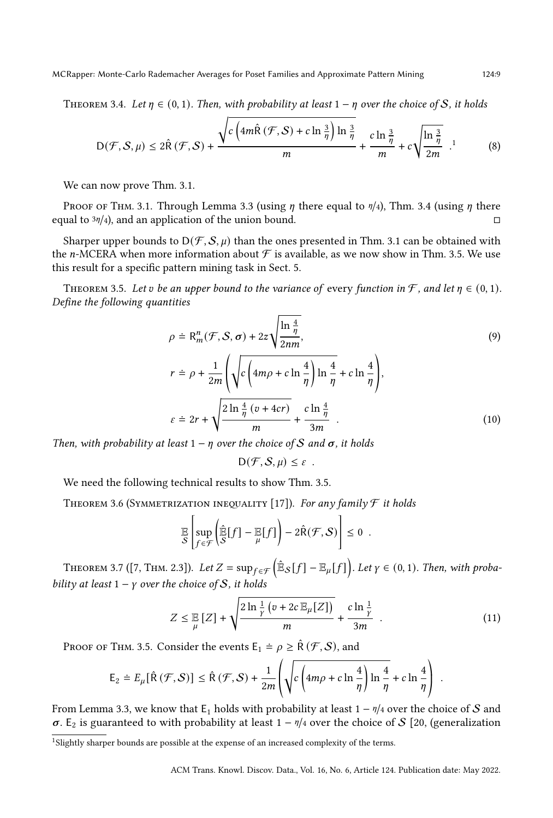MCRapper: Monte-Carlo Rademacher Averages for Poset Families and Approximate Pattern Mining 124:9

THEOREM 3.4. Let  $\eta \in (0,1)$ . Then, with probability at least  $1 - \eta$  over the choice of S, it holds

$$
D(\mathcal{F}, \mathcal{S}, \mu) \le 2\hat{R}(\mathcal{F}, \mathcal{S}) + \frac{\sqrt{c\left(4m\hat{R}(\mathcal{F}, \mathcal{S}) + c\ln\frac{3}{\eta}\right)\ln\frac{3}{\eta}}}{m} + \frac{c\ln\frac{3}{\eta}}{m} + c\sqrt{\frac{\ln\frac{3}{\eta}}{2m}}.
$$
(8)

We can now prove Thm. [3.1.](#page-7-2)

PROOF OF THM. [3.1.](#page-7-2) Through Lemma [3.3](#page-7-3) (using  $\eta$  there equal to  $\eta/4$ ), Thm. [3.4](#page-7-4) (using  $\eta$  there equal to  $\frac{3\eta}{4}$ , and an application of the union bound. □

Sharper upper bounds to  $D(F, S, \mu)$  than the ones presented in Thm. [3.1](#page-7-2) can be obtained with the *n*-MCERA when more information about  $\mathcal F$  is available, as we now show in Thm. [3.5.](#page-8-0) We use this result for a specific pattern mining task in Sect. [5.](#page-17-0)

<span id="page-8-0"></span>THEOREM 3.5. Let v be an upper bound to the variance of every function in  $\mathcal{F}$ , and let  $\eta \in (0,1)$ . Define the following quantities

$$
\rho \doteq R_m^n(\mathcal{F}, \mathcal{S}, \sigma) + 2z \sqrt{\frac{\ln \frac{4}{\eta}}{2nm}},
$$
\n
$$
r \doteq \rho + \frac{1}{2m} \left( \sqrt{c \left( 4m\rho + c \ln \frac{4}{\eta} \right) \ln \frac{4}{\eta}} + c \ln \frac{4}{\eta} \right),
$$
\n
$$
\varepsilon \doteq 2r + \sqrt{\frac{2 \ln \frac{4}{\eta} (v + 4cr)}{m}} + \frac{c \ln \frac{4}{\eta}}{3m}.
$$
\n(10)

Then, with probability at least  $1 - \eta$  over the choice of S and  $\sigma$ , it holds

<span id="page-8-6"></span><span id="page-8-5"></span> $D(F, S, \mu) \leq \varepsilon$ .

<span id="page-8-4"></span>We need the following technical results to show Thm. [3.5.](#page-8-0)

THEOREM 3.6 (SYMMETRIZATION INEQUALITY [\[17\]](#page-26-6)). For any family  $\mathcal F$  it holds

$$
\mathbb{E}\left[\sup_{f\in\mathcal{F}}\left(\widehat{\mathbb{E}}[f] - \mathbb{E}[f]\right) - 2\widehat{R}(\mathcal{F}, \mathcal{S})\right] \leq 0.
$$

<span id="page-8-3"></span>THEOREM 3.7 ([\[7,](#page-26-16) THM. 2.3]). Let  $Z = \sup_{f \in \mathcal{F}} (\hat{\mathbb{E}}_{\mathcal{S}}[f] - \mathbb{E}_{\mu}[f])$ . Let  $\gamma \in (0,1)$ . Then, with probability at least  $1 - y$  over the choice of S, it holds

<span id="page-8-2"></span>
$$
Z \leq \mathbb{E}\left[Z\right] + \sqrt{\frac{2\ln\frac{1}{\gamma}\left(v + 2c\mathbb{E}_{\mu}[Z]\right)}{m}} + \frac{c\ln\frac{1}{\gamma}}{3m} \tag{11}
$$

.

PROOF OF THM. [3.5.](#page-8-0) Consider the events  $E_1 \doteq \rho \geq \hat{R}(\mathcal{F}, \mathcal{S})$ , and

$$
E_2 \doteq E_{\mu}[\hat{R}(\mathcal{F}, \mathcal{S})] \leq \hat{R}(\mathcal{F}, \mathcal{S}) + \frac{1}{2m} \left( \sqrt{c \left( 4m\rho + c \ln \frac{4}{\eta} \right) \ln \frac{4}{\eta}} + c \ln \frac{4}{\eta} \right)
$$

From Lemma [3.3,](#page-7-3) we know that  $E_1$  holds with probability at least  $1 - \frac{\eta}{4}$  over the choice of  $S$  and  $\sigma$ . E<sub>2</sub> is guaranteed to with probability at least 1 –  $\eta$ /4 over the choice of S [\[20,](#page-27-18) (generalization

<span id="page-8-1"></span><sup>&</sup>lt;sup>1</sup>Slightly sharper bounds are possible at the expense of an increased complexity of the terms.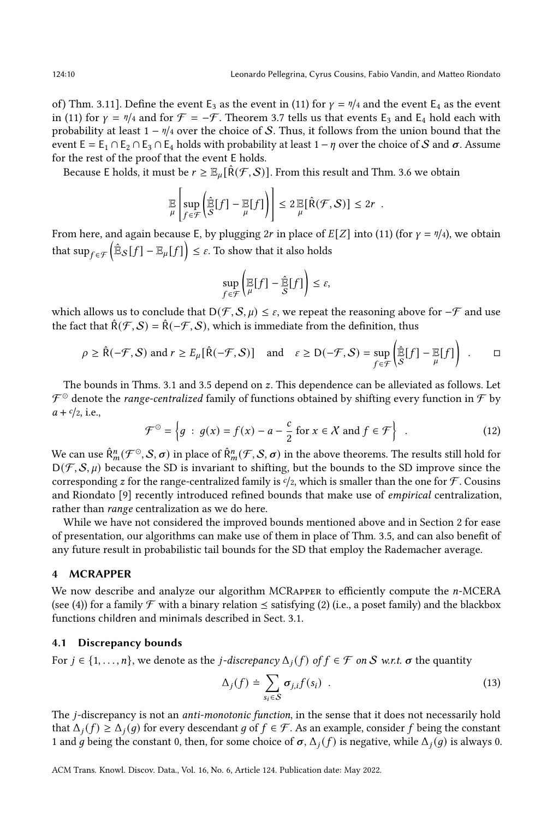of) Thm. 3.11]. Define the event E<sub>3</sub> as the event in [\(11\)](#page-8-2) for  $\gamma = \frac{\eta}{4}$  and the event E<sub>4</sub> as the event in [\(11\)](#page-8-2) for  $\gamma = \eta/4$  and for  $\mathcal{F} = -\mathcal{F}$ . Theorem [3.7](#page-8-3) tells us that events E<sub>3</sub> and E<sub>4</sub> hold each with probability at least  $1 - \frac{\eta}{4}$  over the choice of S. Thus, it follows from the union bound that the event  $E = E_1 \cap E_2 \cap E_3 \cap E_4$  holds with probability at least  $1 - \eta$  over the choice of S and  $\sigma$ . Assume for the rest of the proof that the event E holds.

Because E holds, it must be  $r \geq \mathbb{E}_{\mu}[\hat{R}(\mathcal{F}, \mathcal{S})]$ . From this result and Thm. [3.6](#page-8-4) we obtain

$$
\mathbb{E}\left[\sup_{f\in\mathcal{F}}\left(\widehat{\mathbb{E}}[f] - \mathbb{E}[f]\right)\right] \leq 2 \mathbb{E}[\widehat{R}(\mathcal{F}, \mathcal{S})] \leq 2r.
$$

From here, and again because E, by plugging 2r in place of  $E[Z]$  into [\(11\)](#page-8-2) (for  $\gamma = \eta/4$ ), we obtain that  $\sup_{f \in \mathcal{F}} \left(\hat{\mathbb{E}}_{\mathcal{S}}[f] - \mathbb{E}_{\mu}[f] \right) \leq \varepsilon.$  To show that it also holds

$$
\sup_{f \in \mathcal{F}} \left( \mathbb{E}[f] - \hat{\mathbb{E}}[f] \right) \le \varepsilon,
$$

which allows us to conclude that  $D(\mathcal{F}, \mathcal{S}, \mu) \leq \varepsilon$ , we repeat the reasoning above for  $-\mathcal{F}$  and use the fact that  $\hat{R}(F, S) = \hat{R}(-F, S)$ , which is immediate from the definition, thus

$$
\rho \ge \hat{\mathsf{R}}(-\mathcal{F}, \mathcal{S}) \text{ and } r \ge E_{\mu}[\hat{\mathsf{R}}(-\mathcal{F}, \mathcal{S})] \quad \text{and} \quad \varepsilon \ge \mathsf{D}(-\mathcal{F}, \mathcal{S}) = \sup_{f \in \mathcal{F}} \left( \hat{\mathbb{E}}[f] - \mathbb{E}[f] \right) . \qquad \Box
$$

The bounds in Thms. [3.1](#page-7-2) and [3.5](#page-8-0) depend on  $z$ . This dependence can be alleviated as follows. Let  $\mathcal{F}^\odot$  denote the *range-centralized* family of functions obtained by shifting every function in  $\mathcal{F}$  by  $a + c/2$ , i.e.,

<span id="page-9-1"></span>
$$
\mathcal{F}^{\odot} = \left\{ g \,:\, g(x) = f(x) - a - \frac{c}{2} \text{ for } x \in \mathcal{X} \text{ and } f \in \mathcal{F} \right\} \tag{12}
$$

We can use  $\hat{R}^n_m(\mathcal{F}^\odot,\mathcal{S},\sigma)$  in place of  $\hat{R}^n_m(\mathcal{F},\mathcal{S},\sigma)$  in the above theorems. The results still hold for  $D(\mathcal{F}, \mathcal{S}, \mu)$  because the SD is invariant to shifting, but the bounds to the SD improve since the corresponding z for the range-centralized family is  $\mathfrak{c}/2$ , which is smaller than the one for  $\mathcal{F}$ . Cousins and Riondato [\[9\]](#page-26-13) recently introduced refined bounds that make use of empirical centralization, rather than range centralization as we do here.

While we have not considered the improved bounds mentioned above and in Section [2](#page-2-0) for ease of presentation, our algorithms can make use of them in place of Thm. [3.5,](#page-8-0) and can also benefit of any future result in probabilistic tail bounds for the SD that employ the Rademacher average.

#### 4 MCRAPPER

We now describe and analyze our algorithm MCRAPPER to efficiently compute the n-MCERA (see [\(4\)](#page-7-0)) for a family  $\mathcal F$  with a binary relation  $\leq$  satisfying [\(2\)](#page-5-1) (i.e., a poset family) and the blackbox functions children and minimals described in Sect. [3.1.](#page-5-0)

#### <span id="page-9-0"></span>4.1 Discrepancy bounds

For  $j \in \{1, \ldots, n\}$ , we denote as the *j*-discrepancy  $\Delta_i(f)$  of  $f \in \mathcal{F}$  on S w.r.t.  $\sigma$  the quantity

<span id="page-9-2"></span>
$$
\Delta_j(f) \doteq \sum_{s_i \in S} \sigma_{j,i} f(s_i) \quad . \tag{13}
$$

The j-discrepancy is not an *anti-monotonic function*, in the sense that it does not necessarily hold that  $\Delta_i(f) \geq \Delta_i(g)$  for every descendant g of  $f \in \mathcal{F}$ . As an example, consider f being the constant 1 and q being the constant 0, then, for some choice of  $\sigma$ ,  $\Delta_i(f)$  is negative, while  $\Delta_i(q)$  is always 0.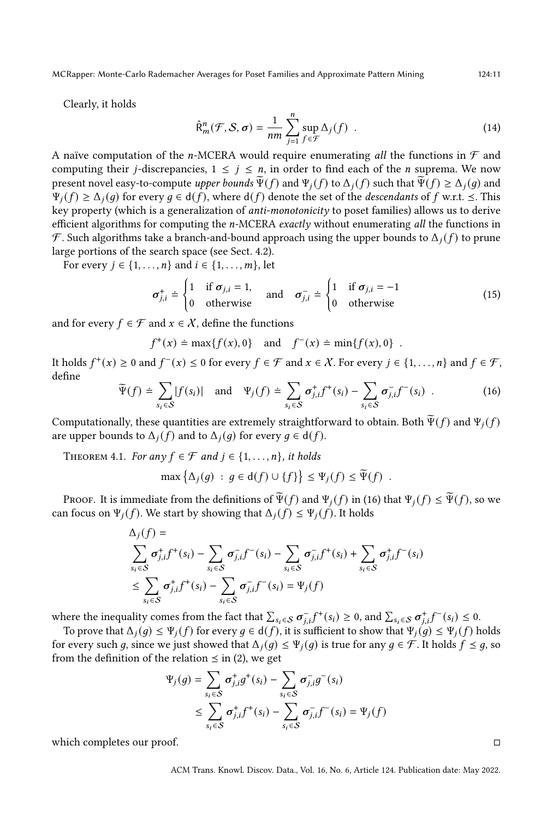MCRapper: Monte-Carlo Rademacher Averages for Poset Families and Approximate Pattern Mining 124:11

Clearly, it holds

<span id="page-10-2"></span>
$$
\hat{\mathsf{R}}_m^n(\mathcal{F}, \mathcal{S}, \sigma) = \frac{1}{nm} \sum_{j=1}^n \sup_{f \in \mathcal{F}} \Delta_j(f) \quad . \tag{14}
$$

A naïve computation of the *n*-MCERA would require enumerating all the functions in  $\mathcal F$  and computing their *j*-discrepancies,  $1 \leq j \leq n$ , in order to find each of the *n* suprema. We now present novel easy-to-compute upper bounds  $\tilde{\Psi}(f)$  and  $\Psi_i(f)$  to  $\Delta_i(f)$  such that  $\tilde{\Psi}(f) \geq \Delta_i(q)$  and  $\Psi_i(f) \geq \Delta_i(q)$  for every  $q \in d(f)$ , where  $d(f)$  denote the set of the *descendants* of f w.r.t.  $\leq$ . This key property (which is a generalization of anti-monotonicity to poset families) allows us to derive efficient algorithms for computing the  $n$ -MCERA exactly without enumerating all the functions in  $\mathcal F$ . Such algorithms take a branch-and-bound approach using the upper bounds to  $\Delta_i(f)$  to prune large portions of the search space (see Sect. [4.2\)](#page-11-0).

For every  $j \in \{1, ..., n\}$  and  $i \in \{1, ..., m\}$ , let

<span id="page-10-1"></span>
$$
\sigma_{j,i}^{+} \doteq \begin{cases} 1 & \text{if } \sigma_{j,i} = 1, \\ 0 & \text{otherwise} \end{cases} \quad \text{and} \quad \sigma_{j,i}^{-} \doteq \begin{cases} 1 & \text{if } \sigma_{j,i} = -1 \\ 0 & \text{otherwise} \end{cases}
$$
 (15)

and for every  $f \in \mathcal{F}$  and  $x \in \mathcal{X}$ , define the functions

$$
f^+(x) \doteq \max\{f(x), 0\}
$$
 and  $f^-(x) \doteq \min\{f(x), 0\}$ .

It holds  $f^+(x) \ge 0$  and  $f^-(x) \le 0$  for every  $f \in \mathcal{F}$  and  $x \in \mathcal{X}$ . For every  $j \in \{1, ..., n\}$  and  $f \in \mathcal{F}$ , define

<span id="page-10-0"></span>
$$
\widetilde{\Psi}(f) \doteq \sum_{s_i \in S} |f(s_i)| \quad \text{and} \quad \Psi_j(f) \doteq \sum_{s_i \in S} \sigma_{j,i}^+ f^+(s_i) - \sum_{s_i \in S} \sigma_{j,i}^- f^-(s_i) \quad . \tag{16}
$$

Computationally, these quantities are extremely straightforward to obtain. Both  $\tilde{\Psi}(f)$  and  $\Psi_i(f)$ are upper bounds to  $\Delta_i(f)$  and to  $\Delta_i(g)$  for every  $g \in d(f)$ .

<span id="page-10-3"></span>THEOREM 4.1. For any  $f \in \mathcal{F}$  and  $j \in \{1, \ldots, n\}$ , it holds

$$
\max \left\{ \Delta_j(g) \; : \; g \in \mathsf{d}(f) \cup \{f\} \right\} \leq \Psi_j(f) \leq \widetilde{\Psi}(f) \enspace .
$$

PROOF. It is immediate from the definitions of  $\widetilde{\Psi}(f)$  and  $\Psi_i(f)$  in [\(16\)](#page-10-0) that  $\Psi_i(f) \leq \widetilde{\Psi}(f)$ , so we can focus on  $\Psi_j(f)$ . We start by showing that  $\Delta_j(f) \leq \Psi_j(f)$ . It holds

$$
\Delta_j(f) = \sum_{s_i \in S} \sigma_{j,i}^+ f^+(s_i) - \sum_{s_i \in S} \sigma_{j,i}^- f^-(s_i) - \sum_{s_i \in S} \sigma_{j,i}^- f^+(s_i) + \sum_{s_i \in S} \sigma_{j,i}^+ f^-(s_i)
$$
  

$$
\leq \sum_{s_i \in S} \sigma_{j,i}^+ f^+(s_i) - \sum_{s_i \in S} \sigma_{j,i}^- f^-(s_i) = \Psi_j(f)
$$

where the inequality comes from the fact that  $\sum_{s_i \in \mathcal{S}} \sigma_{i,i}^- f^+(s_i) \geq 0$ , and  $\sum_{s_i \in \mathcal{S}} \sigma_{i,i}^+ f^-(s_i) \leq 0$ .

To prove that  $\Delta_j(g) \leq \Psi_j(f)$  for every  $g \in d(f)$ , it is sufficient to show that  $\Psi_j(g) \leq \Psi_j(f)$  holds for every such g, since we just showed that  $\Delta_j(g) \leq \Psi_j(g)$  is true for any  $g \in \mathcal{F}$ . It holds  $f \leq g$ , so from the definition of the relation  $\leq$  in [\(2\)](#page-5-1), we get

$$
\Psi_j(g) = \sum_{s_i \in S} \sigma_{j,i}^+ g^+(s_i) - \sum_{s_i \in S} \sigma_{j,i}^- g^-(s_i)
$$
  

$$
\leq \sum_{s_i \in S} \sigma_{j,i}^+ f^+(s_i) - \sum_{s_i \in S} \sigma_{j,i}^- f^-(s_i) = \Psi_j(f)
$$

which completes our proof. □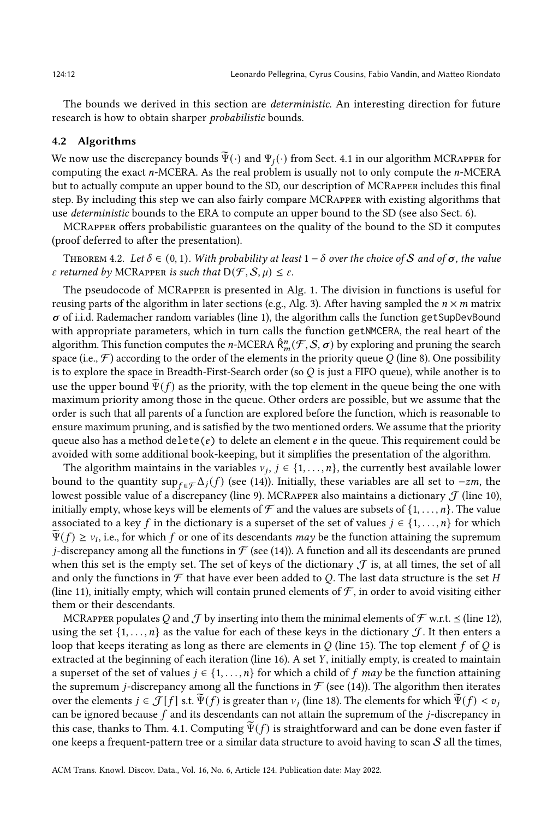The bounds we derived in this section are *deterministic*. An interesting direction for future research is how to obtain sharper probabilistic bounds.

#### <span id="page-11-0"></span>4.2 Algorithms

We now use the discrepancy bounds  $\Psi(\cdot)$  and  $\Psi_i(\cdot)$  from Sect. [4.1](#page-9-0) in our algorithm MCRAPPER for computing the exact  $n$ -MCERA. As the real problem is usually not to only compute the  $n$ -MCERA but to actually compute an upper bound to the SD, our description of MCRapper includes this final step. By including this step we can also fairly compare MCRapper with existing algorithms that use deterministic bounds to the ERA to compute an upper bound to the SD (see also Sect. [6\)](#page-21-0).

MCRapper offers probabilistic guarantees on the quality of the bound to the SD it computes (proof deferred to after the presentation).

<span id="page-11-1"></span>THEOREM 4.2. Let  $\delta \in (0, 1)$ . With probability at least  $1 - \delta$  over the choice of S and of  $\sigma$ , the value  $\varepsilon$  returned by MCRAPPER is such that  $D(\mathcal{F}, \mathcal{S}, \mu) \leq \varepsilon$ .

The pseudocode of MCRapper is presented in Alg. [1.](#page-12-0) The division in functions is useful for reusing parts of the algorithm in later sections (e.g., Alg. [3\)](#page-19-0). After having sampled the  $n \times m$  matrix  $\sigma$  of i.i.d. Rademacher random variables (line [1\)](#page-12-1), the algorithm calls the function getSupDevBound with appropriate parameters, which in turn calls the function getNMCERA, the real heart of the algorithm. This function computes the *n*-MCERA  $\hat{R}_{m}^{n}(\mathcal{F}, \mathcal{S}, \sigma)$  by exploring and pruning the search space (i.e.,  $\mathcal{F}$ ) according to the order of the elements in the priority queue Q (line [8\)](#page-12-2). One possibility is to explore the space in Breadth-First-Search order (so  $Q$  is just a FIFO queue), while another is to use the upper bound  $\Psi(f)$  as the priority, with the top element in the queue being the one with maximum priority among those in the queue. Other orders are possible, but we assume that the order is such that all parents of a function are explored before the function, which is reasonable to ensure maximum pruning, and is satisfied by the two mentioned orders. We assume that the priority queue also has a method delete( $e$ ) to delete an element  $e$  in the queue. This requirement could be avoided with some additional book-keeping, but it simplifies the presentation of the algorithm.

The algorithm maintains in the variables  $v_j, j \in \{1, \ldots, n\}$ , the currently best available lower bound to the quantity sup ∈  $\mathcal{L}_f(f)$  (see [\(14\)](#page-10-2)). Initially, these variables are all set to  $-zm$ , the lowest possible value of a discrepancy (line [9\)](#page-12-3). MCRAPPER also maintains a dictionary  $\mathcal J$  (line [10\)](#page-12-4), initially empty, whose keys will be elements of  $\mathcal F$  and the values are subsets of  $\{1, \ldots, n\}$ . The value associated to a key f in the dictionary is a superset of the set of values  $j \in \{1, \ldots, n\}$  for which  $\widetilde{\Psi}(f) \geq v_i$ , i.e., for which f or one of its descendants may be the function attaining the supremum *j*-discrepancy among all the functions in  $\mathcal F$  (see [\(14\)](#page-10-2)). A function and all its descendants are pruned when this set is the empty set. The set of keys of the dictionary  $\mathcal J$  is, at all times, the set of all and only the functions in  $\mathcal F$  that have ever been added to Q. The last data structure is the set H (line [11\)](#page-12-5), initially empty, which will contain pruned elements of  $\mathcal F$ , in order to avoid visiting either them or their descendants.

MCRAPPER populates Q and J by inserting into them the minimal elements of  $\mathcal F$  w.r.t.  $\leq$  (line [12\)](#page-12-6), using the set  $\{1, \ldots, n\}$  as the value for each of these keys in the dictionary  $\mathcal J$ . It then enters a loop that keeps iterating as long as there are elements in  $Q$  (line [15\)](#page-12-7). The top element f of  $Q$  is extracted at the beginning of each iteration (line [16\)](#page-12-8). A set  $Y$ , initially empty, is created to maintain a superset of the set of values  $j \in \{1, \ldots, n\}$  for which a child of f may be the function attaining the supremum *j*-discrepancy among all the functions in  $\mathcal F$  (see [\(14\)](#page-10-2)). The algorithm then iterates over the elements  $j \in \mathcal{J}[f]$  s.t.  $\widetilde{\Psi}(f)$  is greater than  $v_j$  (line [18\)](#page-12-9). The elements for which  $\widetilde{\Psi}(f) < v_j$ can be ignored because  $f$  and its descendants can not attain the supremum of the  $j$ -discrepancy in this case, thanks to Thm. [4.1.](#page-10-3) Computing  $\widetilde{\Psi}(f)$  is straightforward and can be done even faster if one keeps a frequent-pattern tree or a similar data structure to avoid having to scan  $S$  all the times,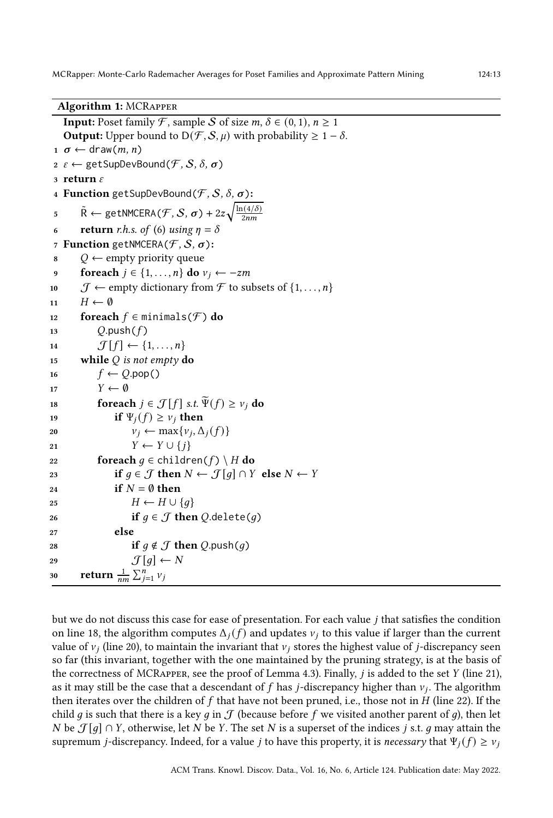Algorithm 1: MCRapper

<span id="page-12-21"></span><span id="page-12-19"></span><span id="page-12-18"></span><span id="page-12-17"></span><span id="page-12-8"></span><span id="page-12-7"></span><span id="page-12-6"></span><span id="page-12-5"></span><span id="page-12-4"></span><span id="page-12-3"></span><span id="page-12-2"></span><span id="page-12-1"></span>**Input:** Poset family F, sample S of size  $m, \delta \in (0, 1), n \ge 1$ **Output:** Upper bound to  $D(\mathcal{F}, \mathcal{S}, \mu)$  with probability  $\geq 1 - \delta$ .  $1 \sigma \leftarrow \text{draw}(m, n)$  $2 \varepsilon \leftarrow$  getSupDevBound $(\mathcal{F}, \mathcal{S}, \delta, \sigma)$ 3 return  $\varepsilon$ 4 Function getSupDevBound $(\mathcal{F}, \mathcal{S}, \delta, \sigma)$ : 5  $\tilde{\mathsf{R}} \leftarrow \mathsf{getNMCERA}(\mathcal{F}, \mathcal{S}, \sigma) + 2z \sqrt{\frac{\ln(4/\delta)}{2nm}}$  $2nm$ 6 return *r.h.s. of* [\(6\)](#page-7-5) using  $\eta = \delta$ 7 Function getNMCERA $(F, S, \sigma)$ :  $8 \qquad Q \leftarrow \text{empty priority queue}$ 9 foreach  $j \in \{1, ..., n\}$  do  $v_j \leftarrow -zm$ 10  $\mathcal{J} \leftarrow$  empty dictionary from  $\mathcal{F}$  to subsets of  $\{1, \ldots, n\}$ 11  $H \leftarrow \emptyset$ 12 foreach  $f \in \text{minimals}(\mathcal{F})$  do 13  $Q.push(f)$ 14  $\mathcal{J}[f] \leftarrow \{1, \ldots, n\}$ 15 while  $Q$  is not empty do 16  $f \leftarrow O.pop()$ 17  $Y \leftarrow \emptyset$ 18 foreach  $j \in \mathcal{J}[f]$  s.t.  $\widetilde{\Psi}(f) \ge v_j$  do<br>
19 if  $\Psi_i(f) > v_i$  then if  $\Psi_i(f) \geq v_i$  then 20  $v_j \leftarrow \max\{v_j, \Delta_j(f)\}$ 21  $Y \leftarrow Y \cup \{i\}$ 22 foreach  $q \in \text{children}(f) \setminus H$  do 23 if  $q \in \mathcal{J}$  then  $N \leftarrow \mathcal{J}[q] \cap Y$  else  $N \leftarrow Y$ 24 if  $N = \emptyset$  then 25  $H \leftarrow H \cup \{q\}$ 26 if  $q \in \mathcal{J}$  then  $Q$  delete(q) <sup>27</sup> else 28 if  $q \notin \mathcal{J}$  then  $Q$ .push(q) 29  $\mathcal{J}[q] \leftarrow N$ 30 return  $\frac{1}{nm} \sum_{j=1}^{n} v_j$ 

<span id="page-12-23"></span><span id="page-12-22"></span><span id="page-12-20"></span><span id="page-12-16"></span><span id="page-12-15"></span><span id="page-12-14"></span><span id="page-12-13"></span><span id="page-12-12"></span><span id="page-12-11"></span><span id="page-12-10"></span><span id="page-12-9"></span><span id="page-12-0"></span>but we do not discuss this case for ease of presentation. For each value  $j$  that satisfies the condition on line [18,](#page-12-9) the algorithm computes  $\Delta_i(f)$  and updates  $v_i$  to this value if larger than the current value of  $v_i$  (line [20\)](#page-12-10), to maintain the invariant that  $v_i$  stores the highest value of *j*-discrepancy seen so far (this invariant, together with the one maintained by the pruning strategy, is at the basis of the correctness of MCRAPPER, see the proof of Lemma [4.3\)](#page-13-0). Finally,  $j$  is added to the set  $Y$  (line [21\)](#page-12-11), as it may still be the case that a descendant of  $f$  has *j*-discrepancy higher than  $v_j$ . The algorithm then iterates over the children of  $f$  that have not been pruned, i.e., those not in  $H$  (line [22\)](#page-12-12). If the child g is such that there is a key g in  $\mathcal J$  (because before f we visited another parent of g), then let N be  $\mathcal{J}[g] \cap Y$ , otherwise, let N be Y. The set N is a superset of the indices j s.t. g may attain the supremum *j*-discrepancy. Indeed, for a value *j* to have this property, it is *necessary* that  $\Psi_i(f) \geq v_i$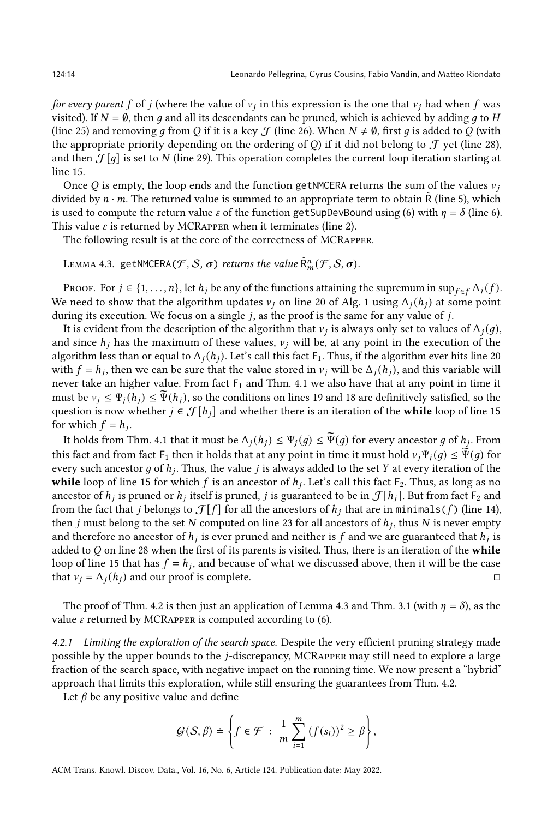for every parent f of j (where the value of  $v_j$  in this expression is the one that  $v_j$  had when f was visited). If  $N = \emptyset$ , then q and all its descendants can be pruned, which is achieved by adding q to H (line [25\)](#page-12-13) and removing q from Q if it is a key  $\mathcal J$  (line [26\)](#page-12-14). When  $N \neq \emptyset$ , first q is added to Q (with the appropriate priority depending on the ordering of Q if it did not belong to  $\mathcal J$  yet (line [28\)](#page-12-15), and then  $\mathcal{J}[q]$  is set to N (line [29\)](#page-12-16). This operation completes the current loop iteration starting at line [15.](#page-12-7)

Once Q is empty, the loop ends and the function getNMCERA returns the sum of the values  $v_i$ divided by  $n \cdot m$ . The returned value is summed to an appropriate term to obtain  $\tilde{R}$  (line [5\)](#page-12-17), which is used to compute the return value  $\varepsilon$  of the function getSupDevBound using [\(6\)](#page-7-5) with  $\eta = \delta$  (line [6\)](#page-12-18). This value  $\varepsilon$  is returned by MCRAPPER when it terminates (line [2\)](#page-12-19).

The following result is at the core of the correctness of MCRapper.

<span id="page-13-0"></span>LEMMA 4.3. getNMCERA $(\mathcal{F}, \mathcal{S}, \sigma)$  returns the value  $\hat{\mathsf{R}}^{n}_{m}(\mathcal{F}, \mathcal{S}, \sigma)$ .

PROOF. For  $j \in \{1, \ldots, n\}$ , let  $h_j$  be any of the functions attaining the supremum in sup  $\epsilon_{f} \epsilon f \Delta_i(f)$ . We need to show that the algorithm updates  $v_i$  on line [20](#page-12-10) of Alg. [1](#page-12-0) using  $\Delta_i(h_i)$  at some point during its execution. We focus on a single  $j$ , as the proof is the same for any value of  $j$ .

It is evident from the description of the algorithm that  $v_j$  is always only set to values of  $\Delta_j(g)$ , and since  $h_i$  has the maximum of these values,  $v_i$  will be, at any point in the execution of the algorithm less than or equal to  $\Delta_i(h_i)$ . Let's call this fact  $F_1$ . Thus, if the algorithm ever hits line [20](#page-12-10) with  $f = h_j$ , then we can be sure that the value stored in  $v_j$  will be  $\Delta_j(h_j)$ , and this variable will never take an higher value. From fact  $F_1$  and Thm. [4.1](#page-10-3) we also have that at any point in time it must be  $v_i \leq \Psi_i(h_i) \leq \Psi(h_i)$ , so the conditions on lines [19](#page-12-20) and [18](#page-12-9) are definitively satisfied, so the question is now whether  $j \in \mathcal{J}[h_j]$  and whether there is an iteration of the **while** loop of line [15](#page-12-7) for which  $f = h_i$ .

It holds from Thm. [4.1](#page-10-3) that it must be  $\Delta_j(h_j) \leq \Psi_j(g) \leq \widetilde{\Psi}(g)$  for every ancestor g of  $h_j$ . From this fact and from fact  $F_1$  then it holds that at any point in time it must hold  $v_i\Psi_i(q) \leq \tilde{\Psi}(q)$  for every such ancestor g of  $h_j$ . Thus, the value j is always added to the set Y at every iteration of the while loop of line [15](#page-12-7) for which  $f$  is an ancestor of  $h_j$ . Let's call this fact  $F_2$ . Thus, as long as no ancestor of  $h_j$  is pruned or  $h_j$  itself is pruned,  $j$  is guaranteed to be in  $\mathcal{J}[h_j].$  But from fact  $\mathsf{F}_2$  and from the fact that *j* belongs to  $\mathcal{J}[f]$  for all the ancestors of  $h_i$  that are in minimals(f) (line [14\)](#page-12-21), then *j* must belong to the set *N* computed on line [23](#page-12-22) for all ancestors of  $h_j$ , thus *N* is never empty and therefore no ancestor of  $h_j$  is ever pruned and neither is  $f$  and we are guaranteed that  $h_j$  is added to  $Q$  on line [28](#page-12-15) when the first of its parents is visited. Thus, there is an iteration of the while loop of line [15](#page-12-7) that has  $f = h_j$ , and because of what we discussed above, then it will be the case that  $v_i = \Delta_i(h_i)$  and our proof is complete. □

The proof of Thm. [4.2](#page-11-1) is then just an application of Lemma [4.3](#page-13-0) and Thm. [3.1](#page-7-2) (with  $\eta = \delta$ ), as the value  $\varepsilon$  returned by MCRAPPER is computed according to [\(6\)](#page-7-5).

<span id="page-13-1"></span>4.2.1 Limiting the exploration of the search space. Despite the very efficient pruning strategy made possible by the upper bounds to the *j*-discrepancy, MCRAPPER may still need to explore a large fraction of the search space, with negative impact on the running time. We now present a "hybrid" approach that limits this exploration, while still ensuring the guarantees from Thm. [4.2.](#page-11-1)

Let  $\beta$  be any positive value and define

$$
\mathcal{G}(\mathcal{S}, \beta) \doteq \left\{ f \in \mathcal{F} \; : \; \frac{1}{m} \sum_{i=1}^{m} \left( f(s_i) \right)^2 \geq \beta \right\},\
$$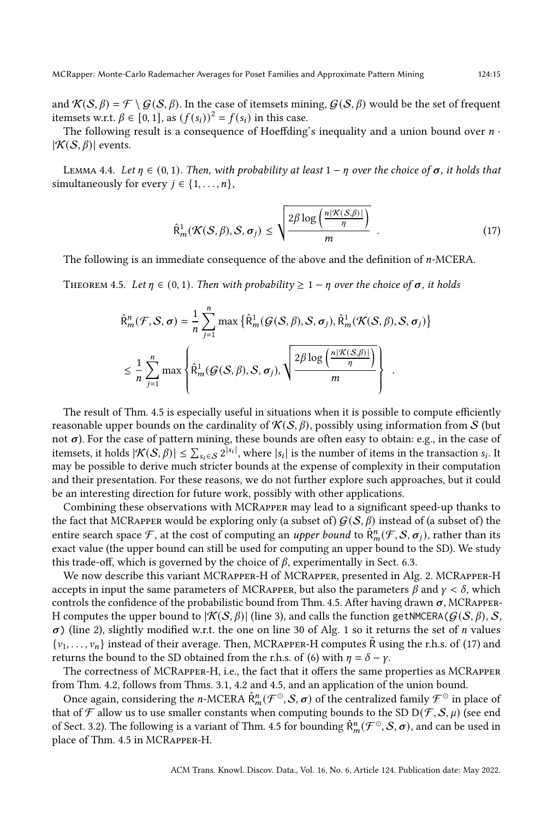The following result is a consequence of Hoeffding's inequality and a union bound over  $n \cdot$  $|\mathcal{K}(\mathcal{S}, \beta)|$  events.

LEMMA 4.4. Let  $\eta \in (0, 1)$ . Then, with probability at least  $1 - \eta$  over the choice of  $\sigma$ , it holds that simultaneously for every  $j \in \{1, ..., n\}$ ,

<span id="page-14-1"></span>
$$
\hat{\mathsf{R}}_m^1(\mathcal{K}(\mathcal{S}, \beta), \mathcal{S}, \sigma_j) \le \sqrt{\frac{2\beta \log\left(\frac{n|\mathcal{K}(\mathcal{S}, \beta)|}{\eta}\right)}{m}} \tag{17}
$$

<span id="page-14-0"></span>The following is an immediate consequence of the above and the definition of  $n$ -MCERA.

THEOREM 4.5. Let  $\eta \in (0,1)$ . Then with probability  $\geq 1 - \eta$  over the choice of  $\sigma$ , it holds

$$
\hat{\mathsf{R}}_{m}^{n}(\mathcal{F}, \mathcal{S}, \sigma) = \frac{1}{n} \sum_{j=1}^{n} \max \left\{ \hat{\mathsf{R}}_{m}^{1}(\mathcal{G}(\mathcal{S}, \beta), \mathcal{S}, \sigma_{j}), \hat{\mathsf{R}}_{m}^{1}(\mathcal{K}(\mathcal{S}, \beta), \mathcal{S}, \sigma_{j}) \right\}
$$
\n
$$
\leq \frac{1}{n} \sum_{j=1}^{n} \max \left\{ \hat{\mathsf{R}}_{m}^{1}(\mathcal{G}(\mathcal{S}, \beta), \mathcal{S}, \sigma_{j}), \sqrt{\frac{2\beta \log \left( \frac{n|\mathcal{K}(\mathcal{S}, \beta)|}{\eta} \right)}{m}} \right\} .
$$

The result of Thm. [4.5](#page-14-0) is especially useful in situations when it is possible to compute efficiently reasonable upper bounds on the cardinality of  $K(S, \beta)$ , possibly using information from S (but not  $\sigma$ ). For the case of pattern mining, these bounds are often easy to obtain: e.g., in the case of itemsets, it holds  $|\mathcal{K}(\mathcal{S}, \beta)| \leq \sum_{s_i \in \mathcal{S}} 2^{|s_i|}$ , where  $|s_i|$  is the number of items in the transaction  $s_i$ . It may be possible to derive much stricter bounds at the expense of complexity in their computation and their presentation. For these reasons, we do not further explore such approaches, but it could be an interesting direction for future work, possibly with other applications.

Combining these observations with MCRapper may lead to a significant speed-up thanks to the fact that MCRAPPER would be exploring only (a subset of)  $G(S, \beta)$  instead of (a subset of) the entire search space F, at the cost of computing an *upper bound* to  $\hat{R}_{m}^{n}(\mathcal{F}, \mathcal{S}, \sigma_{j})$ , rather than its exact value (the upper bound can still be used for computing an upper bound to the SD). We study this trade-off, which is governed by the choice of  $\beta$ , experimentally in Sect. [6.3.](#page-23-0)

We now describe this variant MCRapper-H of MCRapper, presented in Alg. [2.](#page-15-0) MCRapper-H accepts in input the same parameters of MCRAPPER, but also the parameters  $\beta$  and  $\gamma < \delta$ , which controls the confidence of the probabilistic bound from Thm. [4.5.](#page-14-0) After having drawn  $\sigma$ , MCRAPPER-H computes the upper bound to  $|\mathcal{K}(S,\beta)|$  (line [3\)](#page-15-1), and calls the function getNMCERA( $\mathcal{G}(S,\beta)$ , S,  $\sigma$ ) (line [2\)](#page-15-2), slightly modified w.r.t. the one on line [30](#page-12-23) of Alg. [1](#page-12-0) so it returns the set of *n* values  $\{v_1, \ldots, v_n\}$  instead of their average. Then, MCRAPPER-H computes R using the r.h.s. of [\(17\)](#page-14-1) and returns the bound to the SD obtained from the r.h.s. of [\(6\)](#page-7-5) with  $\eta = \delta - \gamma$ .

The correctness of MCRapper-H, i.e., the fact that it offers the same properties as MCRapper from Thm. [4.2,](#page-11-1) follows from Thms. [3.1,](#page-7-2) [4.2](#page-11-1) and [4.5,](#page-14-0) and an application of the union bound.

Once again, considering the *n*-MCERA  $\hat{R}_{m}^{n}(\mathcal{F}^{\odot}, \mathcal{S}, \sigma)$  of the centralized family  $\mathcal{F}^{\odot}$  in place of that of  $\mathcal F$  allow us to use smaller constants when computing bounds to the SD D( $\mathcal F$ ,  $S$ ,  $\mu$ ) (see end of Sect. [3.2\)](#page-6-0). The following is a variant of Thm. [4.5](#page-14-0) for bounding  $\hat{R}^n_m(\mathcal{F}^\odot, \mathcal{S}, \sigma)$ , and can be used in place of Thm. [4.5](#page-14-0) in MCRapper-H.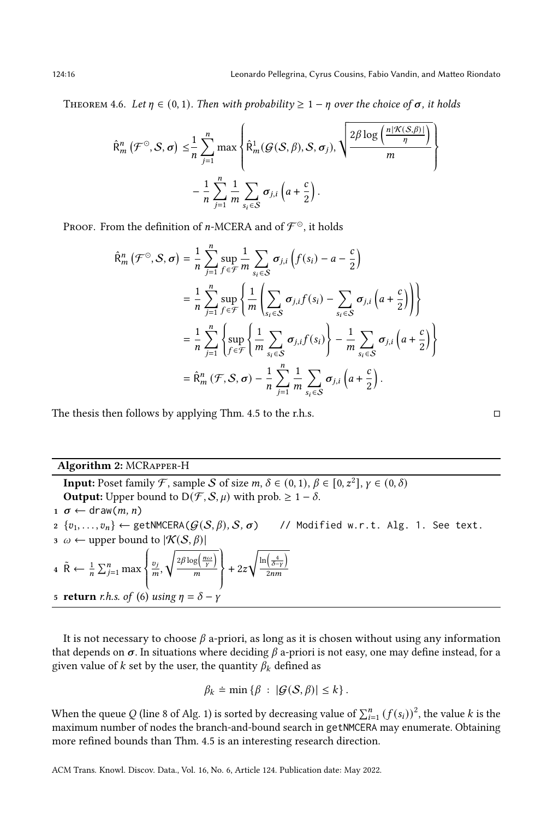THEOREM 4.6. Let  $\eta \in (0,1)$ . Then with probability  $\geq 1 - \eta$  over the choice of  $\sigma$ , it holds

$$
\hat{\mathsf{R}}_m^n(\mathcal{F}^\odot,\mathcal{S},\sigma) \leq \frac{1}{n} \sum_{j=1}^n \max \left\{ \hat{\mathsf{R}}_m^1(\mathcal{G}(\mathcal{S},\beta),\mathcal{S},\sigma_j), \sqrt{\frac{2\beta \log \left( \frac{n|\mathcal{K}(\mathcal{S},\beta)|}{\eta} \right)}{m}} \right\}
$$

$$
-\frac{1}{n} \sum_{j=1}^n \frac{1}{m} \sum_{s_i \in \mathcal{S}} \sigma_{j,i} \left( a + \frac{c}{2} \right).
$$

Proof. From the definition of n-MCERA and of  $\mathcal{F}^{\odot}$ , it holds

$$
\hat{\mathsf{R}}_{m}^{n}(\mathcal{F}^{\odot},\mathcal{S},\sigma) = \frac{1}{n} \sum_{j=1}^{n} \sup_{f \in \mathcal{F}} \frac{1}{m} \sum_{s_{i} \in \mathcal{S}} \sigma_{j,i} \left( f(s_{i}) - a - \frac{c}{2} \right)
$$
\n
$$
= \frac{1}{n} \sum_{j=1}^{n} \sup_{f \in \mathcal{F}} \left\{ \frac{1}{m} \left( \sum_{s_{i} \in \mathcal{S}} \sigma_{j,i} f(s_{i}) - \sum_{s_{i} \in \mathcal{S}} \sigma_{j,i} \left( a + \frac{c}{2} \right) \right) \right\}
$$
\n
$$
= \frac{1}{n} \sum_{j=1}^{n} \left\{ \sup_{f \in \mathcal{F}} \left\{ \frac{1}{m} \sum_{s_{i} \in \mathcal{S}} \sigma_{j,i} f(s_{i}) \right\} - \frac{1}{m} \sum_{s_{i} \in \mathcal{S}} \sigma_{j,i} \left( a + \frac{c}{2} \right) \right\}
$$
\n
$$
= \hat{\mathsf{R}}_{m}^{n}(\mathcal{F}, \mathcal{S}, \sigma) - \frac{1}{n} \sum_{j=1}^{n} \frac{1}{m} \sum_{s_{i} \in \mathcal{S}} \sigma_{j,i} \left( a + \frac{c}{2} \right).
$$

The thesis then follows by applying Thm. [4.5](#page-14-0) to the r.h.s.  $\Box$ 

## Algorithm 2: MCRapper-H

<span id="page-15-2"></span><span id="page-15-1"></span>**Input:** Poset family F, sample S of size  $m, \delta \in (0, 1), \beta \in [0, z^2], \gamma \in (0, \delta)$ **Output:** Upper bound to  $D(\mathcal{F}, \mathcal{S}, \mu)$  with prob.  $\geq 1 - \delta$ .  $1 \sigma \leftarrow \text{draw}(m, n)$  $2 \{v_1, \ldots, v_n\} \leftarrow \text{getNMCERA}(\mathcal{G}(\mathcal{S}, \beta), \mathcal{S}, \sigma)$  // Modified w.r.t. Alg. [1.](#page-12-0) See text.  $\alpha \leftarrow$  upper bound to  $|\mathcal{K}(\mathcal{S}, \beta)|$ 4  $\tilde{R} \leftarrow \frac{1}{n} \sum_{j=1}^{n} \max$  $\overline{\mathcal{L}}$ 5 return r.h.s. of [\(6\)](#page-7-5) using  $\eta = \delta - \gamma$  $\frac{v_j}{m}$  $\sqrt{2\beta \log \left(\frac{n\omega}{v}\right)}$  $\frac{g\left(\frac{n\omega}{Y}\right)}{m}$  $\big)$  $+2z$  $\sqrt{\ln\left(\frac{4}{\delta-\gamma}\right)}$  $\frac{1}{2}$ nm

<span id="page-15-0"></span>It is not necessary to choose  $\beta$  a-priori, as long as it is chosen without using any information that depends on  $\sigma$ . In situations where deciding  $\beta$  a-priori is not easy, one may define instead, for a given value of k set by the user, the quantity  $\beta_k$  defined as

$$
\beta_k \doteq \min \left\{ \beta : |\mathcal{G}(\mathcal{S}, \beta)| \leq k \right\}.
$$

When the queue  $Q$  (line [8](#page-12-2) of Alg. [1\)](#page-12-0) is sorted by decreasing value of  $\sum_{i=1}^n{(f(s_i))^2}$ , the value  $k$  is the maximum number of nodes the branch-and-bound search in getNMCERA may enumerate. Obtaining more refined bounds than Thm. [4.5](#page-14-0) is an interesting research direction.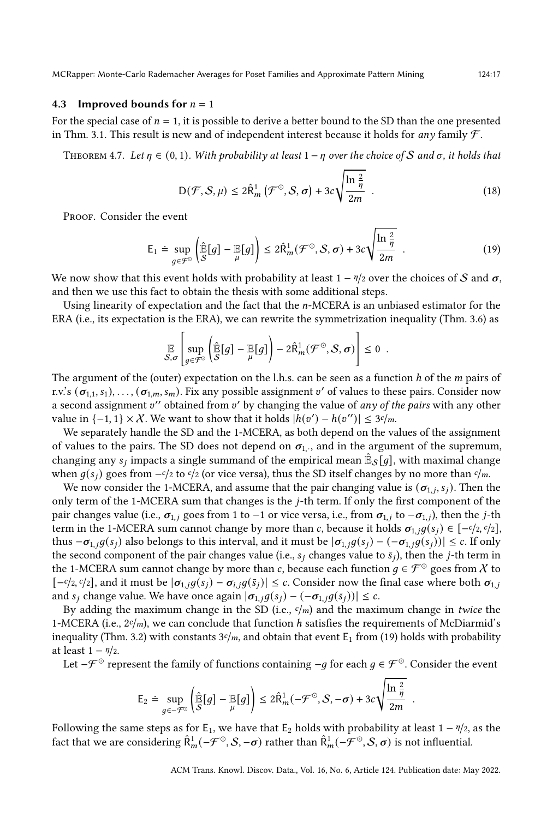#### <span id="page-16-1"></span>4.3 Improved bounds for  $n = 1$

For the special case of  $n = 1$ , it is possible to derive a better bound to the SD than the one presented in Thm. [3.1.](#page-7-2) This result is new and of independent interest because it holds for any family  $\mathcal{F}$ .

<span id="page-16-0"></span>THEOREM 4.7. Let  $\eta \in (0,1)$ . With probability at least  $1 - \eta$  over the choice of S and  $\sigma$ , it holds that

<span id="page-16-3"></span>
$$
D(\mathcal{F}, \mathcal{S}, \mu) \le 2\hat{R}_m^1(\mathcal{F}^\odot, \mathcal{S}, \sigma) + 3c\sqrt{\frac{\ln\frac{2}{\eta}}{2m}}.
$$
 (18)

PROOF. Consider the event

<span id="page-16-2"></span>
$$
\mathsf{E}_1 \doteq \sup_{g \in \mathcal{F}^{\odot}} \left( \widehat{\mathbb{E}}[g] - \mathbb{E}[g] \right) \le 2\widehat{\mathsf{R}}_m^1(\mathcal{F}^{\odot}, \mathcal{S}, \sigma) + 3c \sqrt{\frac{\ln \frac{2}{\eta}}{2m}} \quad . \tag{19}
$$

We now show that this event holds with probability at least  $1 - \eta/2$  over the choices of S and  $\sigma$ , and then we use this fact to obtain the thesis with some additional steps.

Using linearity of expectation and the fact that the  $n$ -MCERA is an unbiased estimator for the ERA (i.e., its expectation is the ERA), we can rewrite the symmetrization inequality (Thm. [3.6\)](#page-8-4) as

$$
\mathbb{E}_{\mathcal{S},\sigma}\left[\sup_{g\in\mathcal{F}^{\circ}}\left(\widehat{\mathbb{E}}[g] - \mathbb{E}[g]\right) - 2\widehat{R}_m^1(\mathcal{F}^{\circ}, \mathcal{S}, \sigma)\right] \leq 0.
$$

The argument of the (outer) expectation on the l.h.s. can be seen as a function  $h$  of the  $m$  pairs of r.v.'s  $(\sigma_{1,1}, s_1), \ldots, (\sigma_{1,m}, s_m)$ . Fix any possible assignment  $v'$  of values to these pairs. Consider now a second assignment  $v''$  obtained from  $v'$  by changing the value of any of the pairs with any other value in {-1, 1} × X. We want to show that it holds  $|h(v') - h(v'')| \leq 3c/m$ .

We separately handle the SD and the 1-MCERA, as both depend on the values of the assignment of values to the pairs. The SD does not depend on  $\sigma_{1,\cdot}$ , and in the argument of the supremum, changing any  $s_j$  impacts a single summand of the empirical mean  $\mathbb{\hat{E}}_\mathcal{S}[g]$ , with maximal change when  $q(s_i)$  goes from  $-c/2$  to  $c/2$  (or vice versa), thus the SD itself changes by no more than  $c/m$ .

We now consider the 1-MCERA, and assume that the pair changing value is  $(\sigma_{1,i}, s_i)$ . Then the only term of the 1-MCERA sum that changes is the  $j$ -th term. If only the first component of the pair changes value (i.e.,  $\sigma_{1,i}$  goes from 1 to −1 or vice versa, i.e., from  $\sigma_{1,i}$  to  $-\sigma_{1,i}$ ), then the j-th term in the 1-MCERA sum cannot change by more than c, because it holds  $\sigma_{1,j}g(s_j) \in [-c/2,c/2]$ , thus  $-\sigma_{1,j}g(s_j)$  also belongs to this interval, and it must be  $|\sigma_{1,j}g(s_j) - (-\sigma_{1,j}g(s_j))|$  ≤ c. If only the second component of the pair changes value (i.e.,  $s_j$  changes value to  $\bar{s}_j$ ), then the j-th term in the 1-MCERA sum cannot change by more than c, because each function  $q \in \mathcal{F}^{\odot}$  goes from X to  $[-c/2, c/2]$ , and it must be  $|\sigma_{1,j}g(s_j) - \sigma_{i,j}g(\bar{s}_j)| \leq c$ . Consider now the final case where both  $\sigma_{1,j}$ and  $s_j$  change value. We have once again  $|\sigma_{1,j}g(s_j) - (-\sigma_{1,j}g(\bar{s}_j))| \leq c$ .

By adding the maximum change in the SD (i.e.,  $c/m$ ) and the maximum change in twice the 1-MCERA (i.e.,  $2c/m$ ), we can conclude that function h satisfies the requirements of McDiarmid's inequality (Thm. [3.2\)](#page-7-6) with constants  $3c/m$ , and obtain that event  $E_1$  from [\(19\)](#page-16-2) holds with probability at least  $1 - \frac{\eta}{2}$ .

Let – $\mathcal{F}^{\odot}$  represent the family of functions containing – $g$  for each  $g \in \mathcal{F}^{\odot}$ . Consider the event

$$
\mathsf{E}_2 \doteq \sup_{g \in -\mathcal{F}^\odot} \left( \widehat{\mathbb{E}}[g] - \mathbb{E}[g] \right) \leq 2 \widehat{\mathsf{R}}_m^1(-\mathcal{F}^\odot, \mathcal{S}, -\sigma) + 3c \sqrt{\frac{\ln \frac{2}{\eta}}{2m}}.
$$

Following the same steps as for  $E_1$ , we have that  $E_2$  holds with probability at least  $1 - \eta / 2$ , as the fact that we are considering  $\hat{\mathsf{R}}_m^1(-\mathcal{F}^\odot, \mathcal{S}, -\sigma)$  rather than  $\hat{\mathsf{R}}_m^1(-\mathcal{F}^\odot, \mathcal{S}, \sigma)$  is not influential.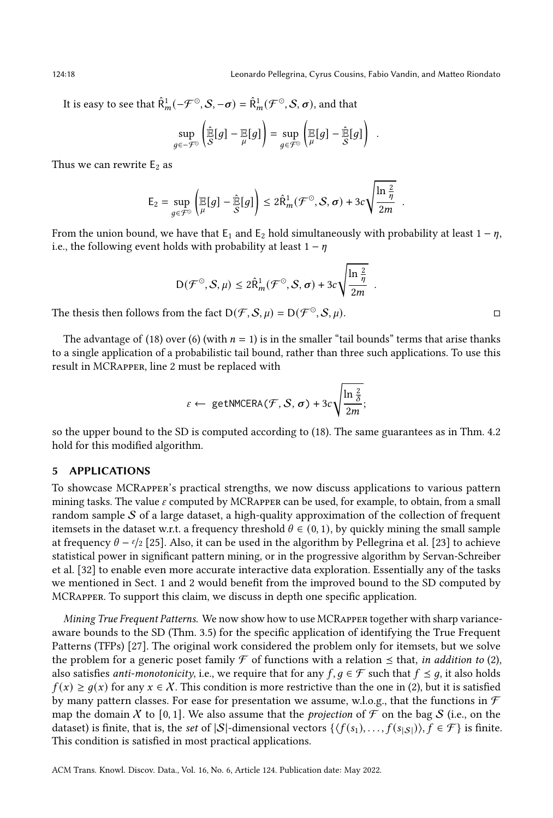124:18 Leonardo Pellegrina, Cyrus Cousins, Fabio Vandin, and Matteo Riondato

.

.

It is easy to see that  $\hat{\mathsf{R}}_m^1(-\mathcal{F}^\odot, \mathcal{S}, -\sigma) = \hat{\mathsf{R}}_m^1(\mathcal{F}^\odot, \mathcal{S}, \sigma)$ , and that

$$
\sup_{g \in -\mathcal{F}^{\circlearrowright}} \left( \widehat{\mathbb{E}}[g] - \mathbb{E}[g] \right) = \sup_{g \in \mathcal{F}^{\circlearrowright}} \left( \mathbb{E}[g] - \widehat{\mathbb{E}}[g] \right)
$$

Thus we can rewrite  $E_2$  as

$$
\mathsf{E}_2 = \sup_{g \in \mathcal{F}^\odot} \left( \mathop{\mathbb{E}}_\mu[g] - \mathop{\hat{\mathbb{E}}}_S[g] \right) \leq 2 \hat{\mathsf{R}}_m^1(\mathcal{F}^\odot, \mathcal{S}, \sigma) + 3c \sqrt{\frac{\ln \frac{2}{\eta}}{2m}} \enspace.
$$

From the union bound, we have that  $E_1$  and  $E_2$  hold simultaneously with probability at least  $1 - \eta$ , i.e., the following event holds with probability at least  $1 - \eta$ 

$$
D(\mathcal{F}^{\odot}, \mathcal{S}, \mu) \leq 2\hat{R}_{m}^{1}(\mathcal{F}^{\odot}, \mathcal{S}, \sigma) + 3c\sqrt{\frac{\ln\frac{2}{\eta}}{2m}}
$$

The thesis then follows from the fact  $D(\mathcal{F}, \mathcal{S}, \mu) = D(\mathcal{F}^{\odot}, \mathcal{S}, \mu)$ .

The advantage of [\(18\)](#page-16-3) over [\(6\)](#page-7-5) (with  $n = 1$ ) is in the smaller "tail bounds" terms that arise thanks to a single application of a probabilistic tail bound, rather than three such applications. To use this result in MCRapper, line [2](#page-12-19) must be replaced with

$$
\varepsilon \leftarrow \text{getNMCERA}(\mathcal{F}, \mathcal{S}, \sigma) + 3c \sqrt{\frac{\ln \frac{2}{\delta}}{2m}};
$$

so the upper bound to the SD is computed according to [\(18\)](#page-16-3). The same guarantees as in Thm. [4.2](#page-11-1) hold for this modified algorithm.

## <span id="page-17-0"></span>5 APPLICATIONS

To showcase MCRapper's practical strengths, we now discuss applications to various pattern mining tasks. The value  $\varepsilon$  computed by MCRAPPER can be used, for example, to obtain, from a small random sample  $S$  of a large dataset, a high-quality approximation of the collection of frequent itemsets in the dataset w.r.t. a frequency threshold  $\theta \in (0, 1)$ , by quickly mining the small sample at frequency  $\theta - \frac{\epsilon}{2}$  [\[25\]](#page-27-2). Also, it can be used in the algorithm by Pellegrina et al. [\[23\]](#page-27-8) to achieve statistical power in significant pattern mining, or in the progressive algorithm by Servan-Schreiber et al. [\[32\]](#page-27-14) to enable even more accurate interactive data exploration. Essentially any of the tasks we mentioned in Sect. [1](#page-0-0) and [2](#page-2-0) would benefit from the improved bound to the SD computed by MCRapper. To support this claim, we discuss in depth one specific application.

Mining True Frequent Patterns. We now show how to use MCRapper together with sharp varianceaware bounds to the SD (Thm. [3.5\)](#page-8-0) for the specific application of identifying the True Frequent Patterns (TFPs) [\[27\]](#page-27-11). The original work considered the problem only for itemsets, but we solve the problem for a generic poset family  $\mathcal F$  of functions with a relation  $\leq$  that, in addition to [\(2\)](#page-5-1), also satisfies *anti-monotonicity*, i.e., we require that for any  $f, g \in \mathcal{F}$  such that  $f \leq g$ , it also holds  $f(x) \geq g(x)$  for any  $x \in \mathcal{X}$ . This condition is more restrictive than the one in [\(2\)](#page-5-1), but it is satisfied by many pattern classes. For ease for presentation we assume, w.l.o.g., that the functions in  $\mathcal F$ map the domain X to [0, 1]. We also assume that the *projection* of  $\mathcal F$  on the bag S (i.e., on the dataset) is finite, that is, the set of |S|-dimensional vectors  $\{\langle f(s_1), \ldots, f(s_{|S|})\rangle, f \in \mathcal{F}\}\$ is finite. This condition is satisfied in most practical applications.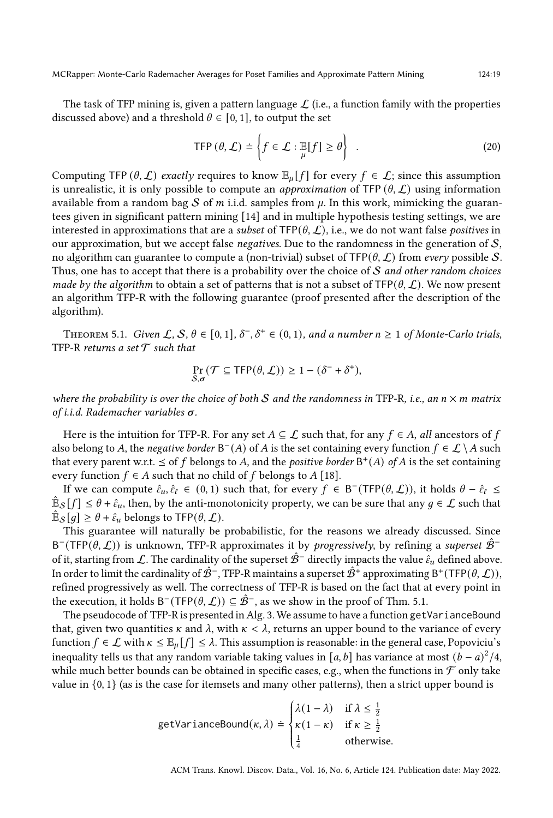MCRapper: Monte-Carlo Rademacher Averages for Poset Families and Approximate Pattern Mining 124:19

The task of TFP mining is, given a pattern language  $\mathcal{L}$  (i.e., a function family with the properties discussed above) and a threshold  $\theta \in [0, 1]$ , to output the set

<span id="page-18-0"></span>
$$
\text{TFP}(\theta, \mathcal{L}) \doteq \left\{ f \in \mathcal{L} : \mathbb{E}[f] \ge \theta \right\} \quad . \tag{20}
$$

Computing TFP  $(\theta, \mathcal{L})$  exactly requires to know  $\mathbb{E}_u[f]$  for every  $f \in \mathcal{L}$ ; since this assumption is unrealistic, it is only possible to compute an *approximation* of TFP  $(\theta, \mathcal{L})$  using information available from a random bag S of m i.i.d. samples from  $\mu$ . In this work, mimicking the guarantees given in significant pattern mining [\[14\]](#page-26-7) and in multiple hypothesis testing settings, we are interested in approximations that are a *subset* of  $TFP(\theta, \mathcal{L})$ , i.e., we do not want false *positives* in our approximation, but we accept false *negatives*. Due to the randomness in the generation of  $S$ , no algorithm can guarantee to compute a (non-trivial) subset of  $TFP(\theta, \mathcal{L})$  from every possible S. Thus, one has to accept that there is a probability over the choice of  $S$  and other random choices made by the algorithm to obtain a set of patterns that is not a subset of  $TFP(\theta, \mathcal{L})$ . We now present an algorithm TFP-R with the following guarantee (proof presented after the description of the algorithm).

<span id="page-18-1"></span>THEOREM 5.1. Given  $\mathcal{L}, \mathcal{S}, \theta \in [0, 1], \delta^-, \delta^+ \in (0, 1)$ , and a number  $n \geq 1$  of Monte-Carlo trials, TFP-R returns a set  $\mathcal T$  such that

$$
\Pr_{S,\sigma}(\mathcal{T} \subseteq \text{TFP}(\theta, \mathcal{L})) \ge 1 - (\delta^- + \delta^+),
$$

where the probability is over the choice of both S and the randomness in TFP-R, i.e., an  $n \times m$  matrix of i.i.d. Rademacher variables  $\sigma$ .

Here is the intuition for TFP-R. For any set  $A \subseteq \mathcal{L}$  such that, for any  $f \in A$ , all ancestors of f also belong to A, the *negative border* B<sup>-</sup>(A) of A is the set containing every function  $f \in \mathcal{L} \setminus A$  such that every parent w.r.t.  $\leq$  of f belongs to A, and the *positive border*  $B^+(A)$  of A is the set containing every function  $f \in A$  such that no child of  $f$  belongs to  $A$  [\[18\]](#page-26-17).

If we can compute  $\hat{\epsilon}_u, \hat{\epsilon}_\ell \in (0, 1)$  such that, for every  $f \in B^-(TFP(\theta, \mathcal{L}))$ , it holds  $\theta - \hat{\epsilon}_\ell \leq$  $\hat{\mathbb{E}}_\mathcal{S}[f] \leq \theta + \hat{\varepsilon}_u$ , then, by the anti-monotonicity property, we can be sure that any  $g\in\mathcal{L}$  such that  $\mathbb{\hat{E}}_{\mathcal{S}}[g] \geq \theta + \hat{\epsilon}_u$  belongs to TFP $(\theta, \mathcal{L})$ .

This guarantee will naturally be probabilistic, for the reasons we already discussed. Since B<sup>-</sup>(TFP( $(\theta, \mathcal{L})$ ) is unknown, TFP-R approximates it by *progressively*, by refining a superset  $\hat{\mathcal{B}}$ <sup>-</sup> of it, starting from L. The cardinality of the superset  $\hat{\mathcal{B}}^-$  directly impacts the value  $\hat{\epsilon}_u$  defined above. In order to limit the cardinality of  $\hat{\mathcal{B}}^-$ , TFP-R maintains a superset  $\hat{\mathcal{B}}^+$  approximating B†(TFP( $\theta, \mathcal{L}$ )), refined progressively as well. The correctness of TFP-R is based on the fact that at every point in the execution, it holds Β¯(TFP( $\theta, L$ )) ⊆  $\hat{\mathcal{B}}^-$ , as we show in the proof of Thm. [5.1.](#page-18-1)

The pseudocode of TFP-R is presented in Alg. [3.](#page-19-0) We assume to have a function getVarianceBound that, given two quantities  $\kappa$  and  $\lambda$ , with  $\kappa < \lambda$ , returns an upper bound to the variance of every function  $f \in \mathcal{L}$  with  $\kappa \leq \mathbb{E}_{\mu}[f] \leq \lambda$ . This assumption is reasonable: in the general case, Popoviciu's inequality tells us that any random variable taking values in [a, b] has variance at most  $(b - a)^2/4$ , while much better bounds can be obtained in specific cases, e.g., when the functions in  $\mathcal F$  only take value in  $\{0, 1\}$  (as is the case for itemsets and many other patterns), then a strict upper bound is

getVarianceBound(
$$
\kappa
$$
,  $\lambda$ )  $\doteq \begin{cases} \lambda(1-\lambda) & \text{if } \lambda \leq \frac{1}{2} \\ \kappa(1-\kappa) & \text{if } \kappa \geq \frac{1}{2} \\ \frac{1}{4} & \text{otherwise.} \end{cases}$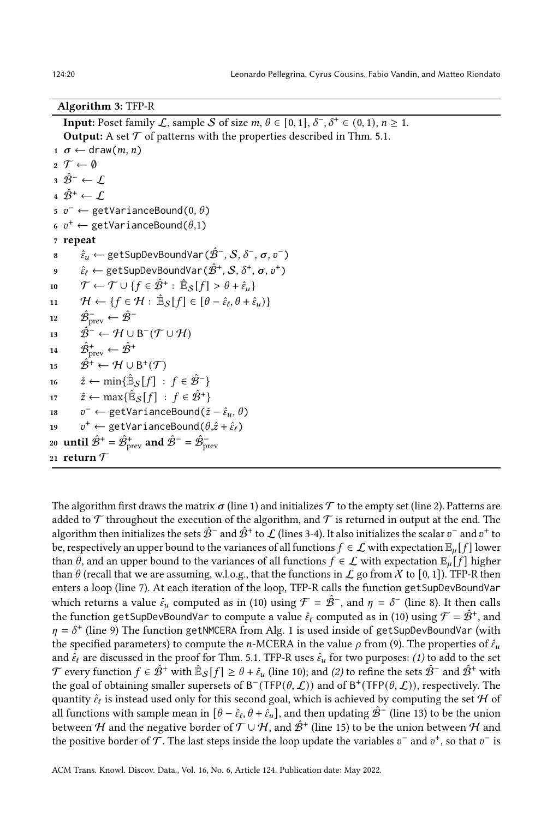## Algorithm 3: TFP-R

<span id="page-19-15"></span><span id="page-19-14"></span><span id="page-19-8"></span><span id="page-19-7"></span><span id="page-19-6"></span><span id="page-19-5"></span><span id="page-19-4"></span><span id="page-19-3"></span><span id="page-19-2"></span><span id="page-19-1"></span>**Input:** Poset family  $\mathcal{L}$ , sample S of size  $m, \theta \in [0, 1], \delta^{-}, \delta^{+} \in (0, 1), n \geq 1$ . **Output:** A set  $\mathcal T$  of patterns with the properties described in Thm. [5.1.](#page-18-1)  $1 \sigma \leftarrow \text{draw}(m, n)$  $2 \mathcal{T} \leftarrow \emptyset$  $3 \hat{B}^- \leftarrow \mathcal{L}$ 4  $\hat{\mathcal{B}}^{\text{+}} \leftarrow \mathcal{L}$  $5 \, v^- \leftarrow \text{getVarianceBound}(0, \theta)$ 6  $v^+ \leftarrow$  getVarianceBound $(\theta,1)$ <sup>7</sup> repeat  $s \qquad \hat \varepsilon_u \leftarrow \text{getSupDevBoundVar}(\hat{\mathcal{B}}^-, \mathcal{S}, \delta^-, \pmb{\sigma}, v^-)$  $\hat{e}_\ell \leftarrow \text{getSupDevBoundVar}(\hat{\mathcal{B}}^+, \mathcal{S}, \delta^+, \pmb{\sigma}, v^+)$ 10  $\mathcal{T} \leftarrow \mathcal{T} \cup \{f \in \hat{\mathcal{B}}^+ : \hat{\mathbb{E}}_{\mathcal{S}}[f] > \theta + \hat{\epsilon}_u\}$ 11  $\mathcal{H} \leftarrow \{f \in \mathcal{H} : \mathbb{B}_{\mathcal{S}}[f] \in [\theta - \hat{\varepsilon}_{\ell}, \theta + \hat{\varepsilon}_{u})\}$ 12  $\hat{\mathcal{B}}^-_{\text{prev}} \leftarrow \hat{\mathcal{B}}^-$ 13  $\hat{\mathcal{B}}^{-} \leftarrow \mathcal{H} \cup \mathsf{B}^{-}(\mathcal{T} \cup \mathcal{H})$ 14  $\hat{\mathcal{B}}_{\text{prev}}^+ \leftarrow \hat{\mathcal{B}}^+$ 15  $\hat{\mathcal{B}}^+ \leftarrow \mathcal{H} \cup \mathsf{B}^+(\mathcal{T})$ 16  $\check{z} \leftarrow \min\{\hat{\mathbb{E}}_{\mathcal{S}}[f] : f \in \hat{\mathcal{B}}^{-}\}\$ 17  $\hat{z} \leftarrow \max\{\hat{\mathbb{E}}_{\mathcal{S}}[f] : f \in \hat{\mathcal{B}}^+\}$ 18  $v^-$  ← getVarianceBound( $\check{z} - \hat{\varepsilon}_u, \theta$ ) 19  $v^+ \leftarrow$  getVarianceBound $(\theta, \hat{z} + \hat{\varepsilon}_\ell)$ 20  $% \mathbf{u}$  until  $\hat{\mathcal{B}}^{+}=\hat{\mathcal{B}}_{\mathrm{prev}}^{+}$  and  $\hat{\mathcal{B}}^{-}=\hat{\mathcal{B}}_{\mathrm{prev}}^{-}$ 21 return  $\mathcal T$ 

<span id="page-19-16"></span><span id="page-19-13"></span><span id="page-19-12"></span><span id="page-19-11"></span><span id="page-19-10"></span><span id="page-19-9"></span><span id="page-19-0"></span>The algorithm first draws the matrix  $\sigma$  (line [1\)](#page-19-1) and initializes  $\mathcal T$  to the empty set (line [2\)](#page-19-2). Patterns are added to  $\mathcal T$  throughout the execution of the algorithm, and  $\mathcal T$  is returned in output at the end. The algorithm then initializes the sets  $\hat{\cal B}^-$  and  $\hat{\cal B}^+$  to  ${\cal L}$  (lines [3-](#page-19-3)[4\)](#page-19-4). It also initializes the scalar  $v^-$  and  $v^+$  to be, respectively an upper bound to the variances of all functions  $f \in \mathcal{L}$  with expectation  $\mathbb{E}_u[f]$  lower than  $\theta$ , and an upper bound to the variances of all functions  $f \in \mathcal{L}$  with expectation  $\mathbb{E}_{\mu}[f]$  higher than  $\theta$  (recall that we are assuming, w.l.o.g., that the functions in  $\mathcal L$  go from X to [0, 1]). TFP-R then enters a loop (line [7\)](#page-19-5). At each iteration of the loop, TFP-R calls the function getSupDevBoundVar which returns a value  $\hat{\epsilon}_u$  computed as in [\(10\)](#page-8-5) using  $\mathcal{F} = \hat{\mathcal{B}}^-$ , and  $\eta = \delta^-$  (line [8\)](#page-19-6). It then calls the function getSupDevBoundVar to compute a value  $\hat{\epsilon}_\ell$  computed as in [\(10\)](#page-8-5) using  $\mathcal{F}=\hat{\mathcal{B}}^+$ , and  $\eta = \delta^+$  (line [9\)](#page-19-7) The function getNMCERA from Alg. [1](#page-12-0) is used inside of getSupDevBoundVar (with the specified parameters) to compute the *n*-MCERA in the value  $\rho$  from [\(9\)](#page-8-6). The properties of  $\hat{\epsilon}_u$ and  $\hat{\varepsilon}_{\ell}$  are discussed in the proof for Thm. [5.1.](#page-18-1) TFP-R uses  $\hat{\varepsilon}_u$  for two purposes: (1) to add to the set  ${\cal T}$  every function  $f\in \hat{\cal B}^+$  with  $\hat{\mathbb{E}}_{\cal S}[f]\geq \theta+\hat{\varepsilon}_u$  (line [10\)](#page-19-8); and (2) to refine the sets  $\hat{\cal B}^-$  and  $\hat{\cal B}^+$  with the goal of obtaining smaller supersets of B<sup>-</sup>(TFP( $(\theta, \mathcal{L})$ ) and of B<sup>+</sup>(TFP( $(\theta, \mathcal{L})$ ), respectively. The quantity  $\hat{\epsilon}_\ell$  is instead used only for this second goal, which is achieved by computing the set  ${\cal H}$  of all functions with sample mean in  $[\theta-\hat{\epsilon}_\ell,\theta+\hat{\epsilon}_u]$ , and then updating  $\hat{\mathcal{B}}^-$  (line [13\)](#page-19-9) to be the union between  ${\cal H}$  and the negative border of  ${\cal T}\cup{\cal H,}$  and  $\hat{\cal B}^+$  (line [15\)](#page-19-10) to be the union between  ${\cal H}$  and the positive border of  $\tilde{\mathcal{T}}.$  The last steps inside the loop update the variables  $v^-$  and  $v^+$ , so that  $v^-$  is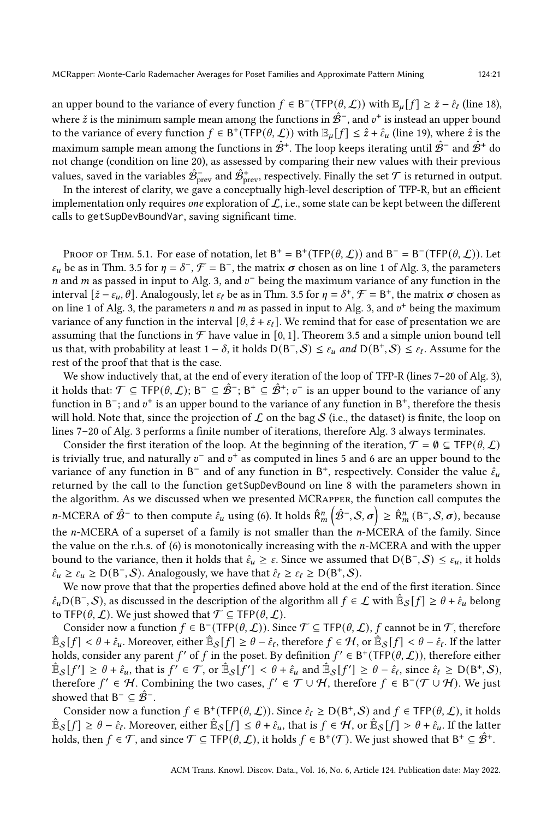an upper bound to the variance of every function  $f \in B^-(TFP(\theta, \mathcal{L}))$  with  $\mathbb{E}_{\mu}[f] \geq \check{z} - \hat{\varepsilon}_{\ell}$  (line [18\)](#page-19-11), where  $\check{z}$  is the minimum sample mean among the functions in  $\hat{\mathcal{B}}^-$ , and  $v^+$  is instead an upper bound to the variance of every function  $f \in B^+(\text{TFP}(\theta, \mathcal{L}))$  with  $\mathbb{E}_{\mu}[f] \leq \hat{z} + \hat{\epsilon}_{\mu}$  (line [19\)](#page-19-12), where  $\hat{z}$  is the maximum sample mean among the functions in  $\hat{\mathcal{B}}^+$ . The loop keeps iterating until  $\hat{\mathcal{B}}^-$  and  $\hat{\mathcal{B}}^+$  do not change (condition on line [20\)](#page-19-13), as assessed by comparing their new values with their previous values, saved in the variables  $\hat{\mathcal{B}}^-_{\rm prev}$  and  $\hat{\mathcal{B}}^+_{\rm prev}$ , respectively. Finally the set  $\mathcal T$  is returned in output.

In the interest of clarity, we gave a conceptually high-level description of TFP-R, but an efficient implementation only requires *one* exploration of  $\mathcal{L}$ , i.e., some state can be kept between the different calls to getSupDevBoundVar, saving significant time.

PROOF OF THM. [5.1.](#page-18-1) For ease of notation, let  $B^+ = B^+$ (TFP $(\theta, \mathcal{L})$ ) and  $B^- = B^-$ (TFP $(\theta, \mathcal{L})$ ). Let  $\varepsilon_u$  be as in Thm. [3.5](#page-8-0) for  $\eta = \delta^-$ ,  $\mathcal{F} = B^-$ , the matrix  $\sigma$  chosen as on line [1](#page-19-1) of Alg. [3,](#page-19-0) the parameters *n* and *m* as passed in input to Alg. [3,](#page-19-0) and  $v^-$  being the maximum variance of any function in the interval  $[\check{z} - \varepsilon_u, \theta]$ . Analogously, let  $\varepsilon_\ell$  be as in Thm. [3.5](#page-8-0) for  $\eta = \delta^+, \mathcal{F} = \mathsf{B}^+$ , the matrix  $\sigma$  chosen as on line [1](#page-19-1) of Alg. [3,](#page-19-0) the parameters *n* and *m* as passed in input to Alg. 3, and  $v<sup>+</sup>$  being the maximum variance of any function in the interval  $[\theta, \hat{z} + \varepsilon_{\ell}]$ . We remind that for ease of presentation we are assuming that the functions in  $\mathcal F$  have value in [0, 1]. Theorem [3.5](#page-8-0) and a simple union bound tell us that, with probability at least 1 –  $\delta$ , it holds D(B<sup>-</sup>, S) ≤  $\varepsilon_u$  and D(B<sup>+</sup>, S) ≤  $\varepsilon_t$ . Assume for the rest of the proof that that is the case.

We show inductively that, at the end of every iteration of the loop of TFP-R (lines [7](#page-19-5)[–20](#page-19-13) of Alg. [3\)](#page-19-0), it holds that:  $\mathcal{T} \subseteq \mathsf{TFP}(\theta, \mathcal{L});$  B<sup>−</sup>  $\subseteq \hat{\mathcal{B}}^+;$  B<sup>+</sup>  $\subseteq \hat{\mathcal{B}}^+;$   $v^-$  is an upper bound to the variance of any function in B<sup>-</sup>; and  $v^+$  is an upper bound to the variance of any function in B<sup>+</sup>, therefore the thesis will hold. Note that, since the projection of  $\mathcal L$  on the bag  $\mathcal S$  (i.e., the dataset) is finite, the loop on lines [7](#page-19-5)[–20](#page-19-13) of Alg. [3](#page-19-0) performs a finite number of iterations, therefore Alg. [3](#page-19-0) always terminates.

Consider the first iteration of the loop. At the beginning of the iteration,  $\mathcal{T} = \mathbf{0} \subseteq \text{TFP}(\theta, \mathcal{L})$ is trivially true, and naturally  $v^-$  and  $v^+$  as computed in lines [5](#page-19-14) and [6](#page-19-15) are an upper bound to the variance of any function in B<sup>-</sup> and of any function in B<sup>+</sup>, respectively. Consider the value  $\hat{\varepsilon}_u$ returned by the call to the function getSupDevBound on line [8](#page-19-6) with the parameters shown in the algorithm. As we discussed when we presented MCRapper, the function call computes the *n*-MCERA of  $\hat{\mathcal{B}}^-$  to then compute  $\hat{\epsilon}_u$  using [\(6\)](#page-7-5). It holds  $\hat{\mathsf{R}}_m^n(\hat{\mathcal{B}}^-, \mathcal{S}, \sigma) \ge \hat{\mathsf{R}}_m^n(\mathsf{B}^-, \mathcal{S}, \sigma)$ , because the n-MCERA of a superset of a family is not smaller than the n-MCERA of the family. Since the value on the r.h.s. of  $(6)$  is monotonically increasing with the *n*-MCERA and with the upper bound to the variance, then it holds that  $\hat{\epsilon}_u \geq \varepsilon$ . Since we assumed that  $D(B^-, S) \leq \varepsilon_u$ , it holds  $\hat{\varepsilon}_u \geq \varepsilon_u \geq D(B^-, \mathcal{S})$ . Analogously, we have that  $\hat{\varepsilon}_\ell \geq \varepsilon_\ell \geq D(B^+, \mathcal{S})$ .

We now prove that that the properties defined above hold at the end of the first iteration. Since  $\hat{\epsilon}_u$ D(B<sup>-</sup>, S), as discussed in the description of the algorithm all  $f \in \mathcal{L}$  with  $\hat{\mathbb{E}}_{\mathcal{S}}[f] \ge \theta + \hat{\epsilon}_u$  belong to TFP( $\theta$ ,  $\mathcal{L}$ ). We just showed that  $\mathcal{T} \subseteq \text{TFP}(\theta, \mathcal{L})$ .

Consider now a function  $f \in B^{-}(\text{TFP}(\theta, \mathcal{L}))$ . Since  $\mathcal{T} \subseteq \text{TFP}(\theta, \mathcal{L})$ , f cannot be in  $\mathcal{T}$ , therefore  $\hat{\mathbb{E}}_\mathcal{S}[f]<\theta+\hat{\varepsilon}_u.$  Moreover, either  $\hat{\mathbb{E}}_\mathcal{S}[f]\geq \theta-\hat{\varepsilon}_\ell,$  therefore  $f\in\mathcal{H},$  or  $\hat{\mathbb{E}}_\mathcal{S}[f]<\theta-\hat{\varepsilon}_\ell.$  If the latter holds, consider any parent f' of f in the poset. By definition  $f' \in B^+(\text{TFP}(\theta, \mathcal{L}))$ , therefore either  $\mathbb{E}_{\mathcal{S}}[f'] \geq \theta + \hat{\varepsilon}_u$ , that is  $f' \in \mathcal{T}$ , or  $\mathbb{E}_{\mathcal{S}}[f'] < \theta + \hat{\varepsilon}_u$  and  $\mathbb{E}_{\mathcal{S}}[f'] \geq \theta - \hat{\varepsilon}_\ell$ , since  $\hat{\varepsilon}_\ell \geq D(B^+, \mathcal{S})$ , therefore  $f' \in H$ . Combining the two cases,  $f' \in T \cup H$ , therefore  $f \in B^-(T \cup H)$ . We just showed that  $B^- \subseteq \hat{\mathcal{B}}^-$ .

Consider now a function  $f \in B^+(\text{TFP}(\theta, \mathcal{L}))$ . Since  $\hat{\varepsilon}_\ell \ge D(B^+, \mathcal{S})$  and  $f \in \text{TFP}(\theta, \mathcal{L})$ , it holds  $\hat{\mathbb{E}}_\mathcal{S}[f] \geq \theta - \hat{\epsilon}_\ell.$  Moreover, either  $\hat{\mathbb{E}}_\mathcal{S}[f] \leq \theta + \hat{\epsilon}_u,$  that is  $f \in \mathcal{H}$ , or  $\hat{\mathbb{E}}_\mathcal{S}[f] > \theta + \hat{\epsilon}_u.$  If the latter holds, then  $f \in \mathcal{T}$ , and since  $\mathcal{T} \subseteq \mathsf{TFP}(\theta, \mathcal{L})$ , it holds  $f \in \mathsf{B}^+(\mathcal{T})$ . We just showed that  $\mathsf{B}^+ \subseteq \hat{\mathcal{B}}^+$ .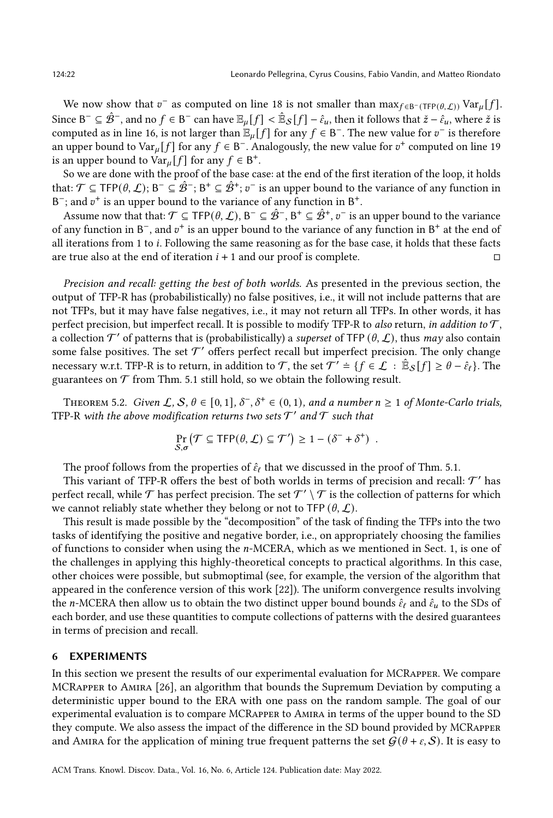We now show that  $v^-$  as computed on line [18](#page-19-11) is not smaller than  $\max_{f \in B^-(TFP(\theta,\mathcal{L}))} \text{Var}_{\mu}[f].$ Since B<sup>−</sup> ⊆  $\hat{\mathcal{B}}^-$ , and no  $f \in$  B<sup>−</sup> can have  $\mathbb{E}_\mu[f]<\hat{\mathbb{E}}_{\mathcal{S}}[f]-\hat{\epsilon}_u,$  then it follows that  $\check{z}-\hat{\epsilon}_u,$  where  $\check{z}$  is computed as in line [16,](#page-19-16) is not larger than  $\mathbb{E}_{\mu}[f]$  for any  $f \in \mathcal{B}^-$ . The new value for  $v^-$  is therefore an upper bound to Var<sub>µ</sub>[f] for any  $f \in B^-$ . Analogously, the new value for  $v^+$  computed on line [19](#page-19-12) is an upper bound to  $Var_\mu[f]$  for any  $f \in B^+$ .

So we are done with the proof of the base case: at the end of the first iteration of the loop, it holds that:  $\mathcal{T}$  ⊆ TFP( $\theta$ ,  $\mathcal{L}$ ); B¯ ⊆  $\hat{\mathcal{B}}^+;$  B $^+$   $\subseteq$   $\hat{\mathcal{B}}^+;$   $v^-$  is an upper bound to the variance of any function in B<sup>-</sup>; and  $v^+$  is an upper bound to the variance of any function in B<sup>+</sup>.

Assume now that that:  $\mathcal{T} \subseteq \mathsf{TFP}(\theta, \mathcal{L}), B^{-} \subseteq \hat{\mathcal{B}}^{-}, B^{+} \subseteq \hat{\mathcal{B}}^{+}, v^{-}$  is an upper bound to the variance of any function in  $B^-$ , and  $v^+$  is an upper bound to the variance of any function in  $B^+$  at the end of all iterations from 1 to *i*. Following the same reasoning as for the base case, it holds that these facts are true also at the end of iteration  $i + 1$  and our proof is complete.  $\Box$ 

Precision and recall: getting the best of both worlds. As presented in the previous section, the output of TFP-R has (probabilistically) no false positives, i.e., it will not include patterns that are not TFPs, but it may have false negatives, i.e., it may not return all TFPs. In other words, it has perfect precision, but imperfect recall. It is possible to modify TFP-R to also return, in addition to  $\mathcal{T}$ , a collection  $\mathcal{T}'$  of patterns that is (probabilistically) a superset of TFP  $(\theta, \mathcal{L})$ , thus may also contain some false positives. The set  $\mathcal{T}'$  offers perfect recall but imperfect precision. The only change necessary w.r.t. TFP-R is to return, in addition to  $\mathcal{T}$ , the set  $\mathcal{T}'\doteq\{f\in\mathcal{L}\,:\,\hat{\mathbb{E}}_\mathcal{S}[f]\geq\theta-\hat{\varepsilon}_\ell\}.$  The guarantees on  $\mathcal T$  from Thm. [5.1](#page-18-1) still hold, so we obtain the following result.

THEOREM 5.2. Given  $\mathcal{L}, \mathcal{S}, \theta \in [0, 1], \delta^{-}, \delta^{+} \in (0, 1)$ , and a number  $n \geq 1$  of Monte-Carlo trials, TFP-R with the above modification returns two sets  $\mathcal{T}'$  and  $\mathcal{T}$  such that

$$
\Pr_{S,\sigma}(\mathcal{T} \subseteq \mathsf{TFP}(\theta,\mathcal{L}) \subseteq \mathcal{T}') \ge 1 - (\delta^- + \delta^+) .
$$

The proof follows from the properties of  $\hat{\epsilon}_{\ell}$  that we discussed in the proof of Thm. [5.1.](#page-18-1)

This variant of TFP-R offers the best of both worlds in terms of precision and recall:  $\mathcal{T}'$  has perfect recall, while  ${\cal T}$  has perfect precision. The set  ${\cal T}'\setminus{\cal T}$  is the collection of patterns for which we cannot reliably state whether they belong or not to TFP  $(\theta, \mathcal{L})$ .

This result is made possible by the "decomposition" of the task of finding the TFPs into the two tasks of identifying the positive and negative border, i.e., on appropriately choosing the families of functions to consider when using the  $n$ -MCERA, which as we mentioned in Sect. [1,](#page-0-0) is one of the challenges in applying this highly-theoretical concepts to practical algorithms. In this case, other choices were possible, but submoptimal (see, for example, the version of the algorithm that appeared in the conference version of this work [\[22\]](#page-27-0)). The uniform convergence results involving the *n*-MCERA then allow us to obtain the two distinct upper bound bounds  $\hat{\epsilon}_l$  and  $\hat{\epsilon}_u$  to the SDs of each border, and use these quantities to compute collections of patterns with the desired guarantees in terms of precision and recall.

## <span id="page-21-0"></span>6 EXPERIMENTS

In this section we present the results of our experimental evaluation for MCRapper. We compare MCRapper to Amira [\[26\]](#page-27-3), an algorithm that bounds the Supremum Deviation by computing a deterministic upper bound to the ERA with one pass on the random sample. The goal of our experimental evaluation is to compare MCRapper to Amira in terms of the upper bound to the SD they compute. We also assess the impact of the difference in the SD bound provided by MCRapper and AMIRA for the application of mining true frequent patterns the set  $G(\theta + \varepsilon, S)$ . It is easy to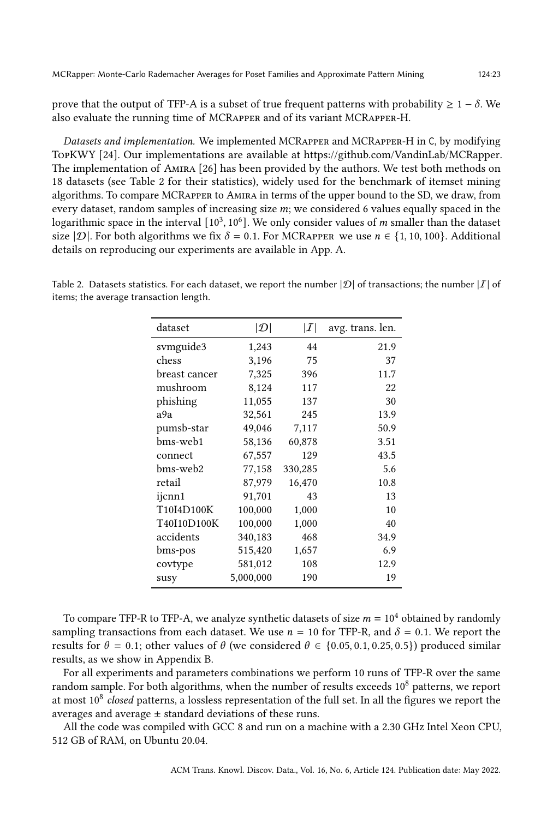prove that the output of TFP-A is a subset of true frequent patterns with probability  $\geq 1 - \delta$ . We also evaluate the running time of MCRapper and of its variant MCRapper-H.

Datasets and implementation. We implemented MCRAPPER and MCRAPPER-H in C, by modifying TopKWY [\[24\]](#page-27-19). Our implementations are available at [https://github.com/VandinLab/MCRapper.](https://github.com/VandinLab/MCRapper) The implementation of Amira [\[26\]](#page-27-3) has been provided by the authors. We test both methods on 18 datasets (see Table [2](#page-22-0) for their statistics), widely used for the benchmark of itemset mining algorithms. To compare MCRapper to Amira in terms of the upper bound to the SD, we draw, from every dataset, random samples of increasing size  $m$ ; we considered 6 values equally spaced in the logarithmic space in the interval  $[10^3, 10^6]$ . We only consider values of m smaller than the dataset size  $|\mathcal{D}|$ . For both algorithms we fix  $\delta = 0.1$ . For MCRAPPER we use  $n \in \{1, 10, 100\}$ . Additional details on reproducing our experiments are available in App. [A.](#page-27-20)

<span id="page-22-0"></span>Table 2. Datasets statistics. For each dataset, we report the number  $|\mathcal{D}|$  of transactions; the number  $|I|$  of items; the average transaction length.

| dataset       | $ \mathcal{D} $ | I       | avg. trans. len. |
|---------------|-----------------|---------|------------------|
| svmguide3     | 1,243           | 44      | 21.9             |
| chess         | 3,196           | 75      | 37               |
| breast cancer | 7,325           | 396     | 11.7             |
| mushroom      | 8,124           | 117     | 22               |
| phishing      | 11,055          | 137     | 30               |
| a9a           | 32,561          | 245     | 13.9             |
| pumsb-star    | 49,046          | 7,117   | 50.9             |
| bms-web1      | 58,136          | 60,878  | 3.51             |
| connect       | 67,557          | 129     | 43.5             |
| bms-web2      | 77,158          | 330,285 | 5.6              |
| retail        | 87,979          | 16,470  | 10.8             |
| ijcnn1        | 91,701          | 43      | 13               |
| T10I4D100K    | 100,000         | 1,000   | 10               |
| T40I10D100K   | 100,000         | 1,000   | 40               |
| accidents     | 340,183         | 468     | 34.9             |
| bms-pos       | 515,420         | 1,657   | 6.9              |
| covtype       | 581,012         | 108     | 12.9             |
| susy          | 5,000,000       | 190     | 19               |

To compare TFP-R to TFP-A, we analyze synthetic datasets of size  $m = 10<sup>4</sup>$  obtained by randomly sampling transactions from each dataset. We use  $n = 10$  for TFP-R, and  $\delta = 0.1$ . We report the results for  $\theta = 0.1$ ; other values of  $\theta$  (we considered  $\theta \in \{0.05, 0.1, 0.25, 0.5\}$ ) produced similar results, as we show in Appendix [B.](#page-28-0)

For all experiments and parameters combinations we perform 10 runs of TFP-R over the same random sample. For both algorithms, when the number of results exceeds  $10<sup>8</sup>$  patterns, we report at most  $10^8$  closed patterns, a lossless representation of the full set. In all the figures we report the averages and average  $\pm$  standard deviations of these runs.

All the code was compiled with GCC 8 and run on a machine with a 2.30 GHz Intel Xeon CPU, 512 GB of RAM, on Ubuntu 20.04.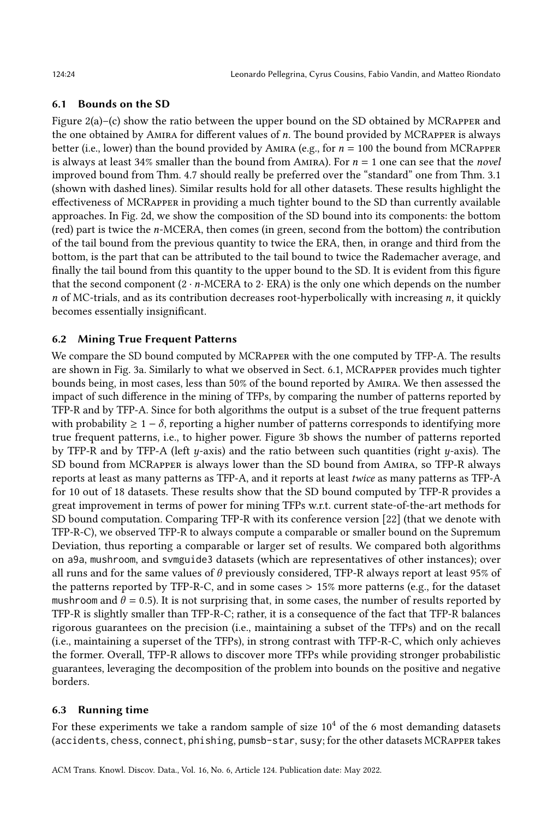# <span id="page-23-1"></span>6.1 Bounds on the SD

Figure  $2(a)$ –(c) show the ratio between the upper bound on the SD obtained by MCRAPPER and the one obtained by AMIRA for different values of  $n$ . The bound provided by MCRAPPER is always better (i.e., lower) than the bound provided by AMIRA (e.g., for  $n = 100$  the bound from MCRAPPER is always at least 34% smaller than the bound from AMIRA). For  $n = 1$  one can see that the novel improved bound from Thm. [4.7](#page-16-0) should really be preferred over the "standard" one from Thm. [3.1](#page-7-2) (shown with dashed lines). Similar results hold for all other datasets. These results highlight the effectiveness of MCRapper in providing a much tighter bound to the SD than currently available approaches. In Fig. [2d,](#page-24-0) we show the composition of the SD bound into its components: the bottom (red) part is twice the n-MCERA, then comes (in green, second from the bottom) the contribution of the tail bound from the previous quantity to twice the ERA, then, in orange and third from the bottom, is the part that can be attributed to the tail bound to twice the Rademacher average, and finally the tail bound from this quantity to the upper bound to the SD. It is evident from this figure that the second component  $(2 \cdot n \cdot \text{MCERA}$  to 2 $\cdot$  ERA) is the only one which depends on the number  $n$  of MC-trials, and as its contribution decreases root-hyperbolically with increasing  $n$ , it quickly becomes essentially insignificant.

# 6.2 Mining True Frequent Patterns

We compare the SD bound computed by MCRapper with the one computed by TFP-A. The results are shown in Fig. [3a.](#page-25-0) Similarly to what we observed in Sect. [6.1,](#page-23-1) MCRapper provides much tighter bounds being, in most cases, less than 50% of the bound reported by Amira. We then assessed the impact of such difference in the mining of TFPs, by comparing the number of patterns reported by TFP-R and by TFP-A. Since for both algorithms the output is a subset of the true frequent patterns with probability  $\geq 1 - \delta$ , reporting a higher number of patterns corresponds to identifying more true frequent patterns, i.e., to higher power. Figure [3b](#page-25-0) shows the number of patterns reported by TFP-R and by TFP-A (left  $y$ -axis) and the ratio between such quantities (right  $y$ -axis). The SD bound from MCRapper is always lower than the SD bound from Amira, so TFP-R always reports at least as many patterns as TFP-A, and it reports at least twice as many patterns as TFP-A for 10 out of 18 datasets. These results show that the SD bound computed by TFP-R provides a great improvement in terms of power for mining TFPs w.r.t. current state-of-the-art methods for SD bound computation. Comparing TFP-R with its conference version [\[22\]](#page-27-0) (that we denote with TFP-R-C), we observed TFP-R to always compute a comparable or smaller bound on the Supremum Deviation, thus reporting a comparable or larger set of results. We compared both algorithms on a9a, mushroom, and svmguide3 datasets (which are representatives of other instances); over all runs and for the same values of  $\theta$  previously considered, TFP-R always report at least 95% of the patterns reported by TFP-R-C, and in some cases > 15% more patterns (e.g., for the dataset mushroom and  $\theta = 0.5$ ). It is not surprising that, in some cases, the number of results reported by TFP-R is slightly smaller than TFP-R-C; rather, it is a consequence of the fact that TFP-R balances rigorous guarantees on the precision (i.e., maintaining a subset of the TFPs) and on the recall (i.e., maintaining a superset of the TFPs), in strong contrast with TFP-R-C, which only achieves the former. Overall, TFP-R allows to discover more TFPs while providing stronger probabilistic guarantees, leveraging the decomposition of the problem into bounds on the positive and negative borders.

# <span id="page-23-0"></span>6.3 Running time

For these experiments we take a random sample of size  $10<sup>4</sup>$  of the 6 most demanding datasets (accidents, chess, connect, phishing, pumsb-star, susy; for the other datasets MCRapper takes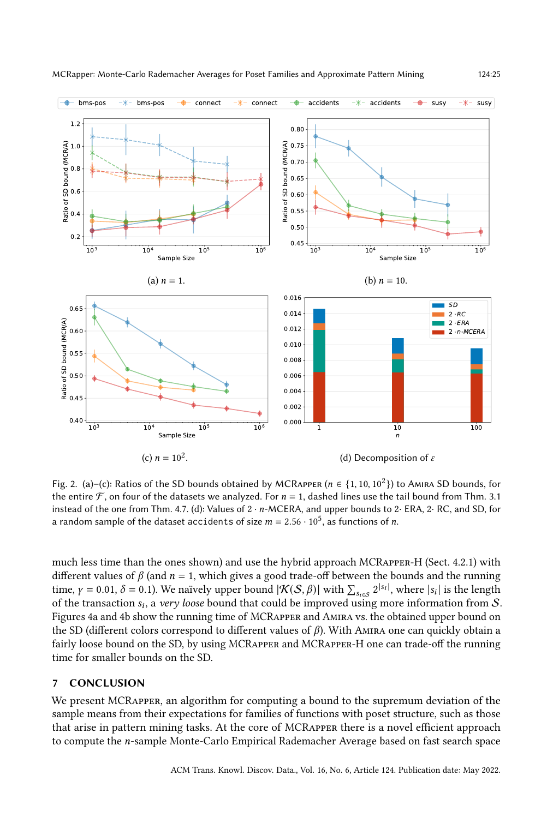<span id="page-24-0"></span>

Fig. 2. (a)–(c): Ratios of the SD bounds obtained by MCRAPPER ( $n \in \{1, 10, 10^2\}$ ) to Amira SD bounds, for the entire  $\mathcal F$ , on four of the datasets we analyzed. For  $n = 1$ , dashed lines use the tail bound from Thm. [3.1](#page-7-2) instead of the one from Thm. [4.7.](#page-16-0) (d): Values of  $2 \cdot n$ -MCERA, and upper bounds to  $2 \cdot$  ERA,  $2 \cdot$  RC, and SD, for a random sample of the dataset accidents of size  $m = 2.56 \cdot 10^5,$  as functions of  $n.$ 

much less time than the ones shown) and use the hybrid approach MCRapper-H (Sect. [4.2.1\)](#page-13-1) with different values of  $\beta$  (and  $n = 1$ , which gives a good trade-off between the bounds and the running time,  $\gamma = 0.01$ ,  $\delta = 0.1$ ). We naïvely upper bound  $|\mathcal{K}(S, \beta)|$  with  $\sum_{s_{i \in S}} 2^{|s_i|}$ , where  $|s_i|$  is the length of the transaction  $s_i$ , a very loose bound that could be improved using more information from S. Figures [4a](#page-25-1) and [4b](#page-25-1) show the running time of MCRapper and Amira vs. the obtained upper bound on the SD (different colors correspond to different values of  $\beta$ ). With AMIRA one can quickly obtain a fairly loose bound on the SD, by using MCRAPPER and MCRAPPER-H one can trade-off the running time for smaller bounds on the SD.

# 7 CONCLUSION

We present MCRapper, an algorithm for computing a bound to the supremum deviation of the sample means from their expectations for families of functions with poset structure, such as those that arise in pattern mining tasks. At the core of MCRapper there is a novel efficient approach to compute the *n*-sample Monte-Carlo Empirical Rademacher Average based on fast search space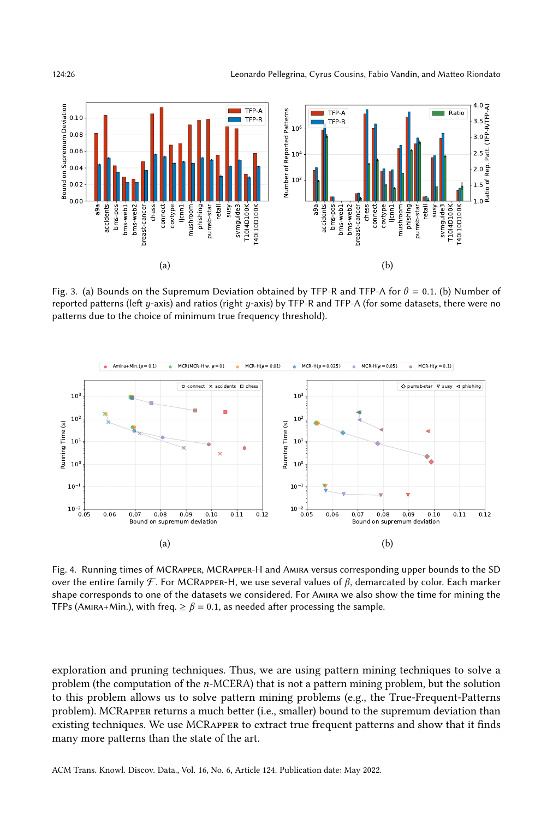<span id="page-25-0"></span>

Fig. 3. (a) Bounds on the Supremum Deviation obtained by TFP-R and TFP-A for  $\theta = 0.1$ . (b) Number of reported patterns (left  $y$ -axis) and ratios (right  $y$ -axis) by TFP-R and TFP-A (for some datasets, there were no patterns due to the choice of minimum true frequency threshold).

<span id="page-25-1"></span>

Fig. 4. Running times of MCRapper, MCRapper-H and Amira versus corresponding upper bounds to the SD over the entire family  $\mathcal{F}$ . For MCRAPPER-H, we use several values of  $\beta$ , demarcated by color. Each marker shape corresponds to one of the datasets we considered. For Amira we also show the time for mining the TFPs (Amira+Min.), with freq.  $\geq \beta = 0.1$ , as needed after processing the sample.

exploration and pruning techniques. Thus, we are using pattern mining techniques to solve a problem (the computation of the  $n$ -MCERA) that is not a pattern mining problem, but the solution to this problem allows us to solve pattern mining problems (e.g., the True-Frequent-Patterns problem). MCRapper returns a much better (i.e., smaller) bound to the supremum deviation than existing techniques. We use MCRapper to extract true frequent patterns and show that it finds many more patterns than the state of the art.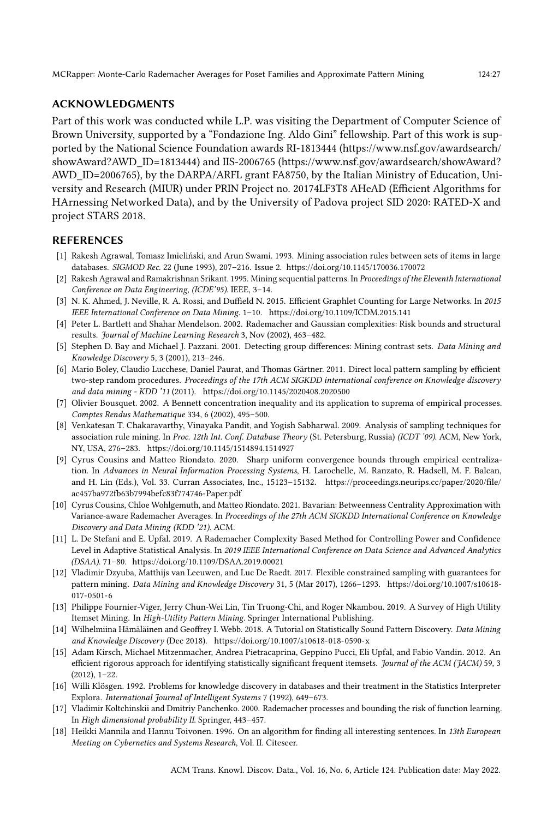# ACKNOWLEDGMENTS

Part of this work was conducted while L.P. was visiting the Department of Computer Science of Brown University, supported by a "Fondazione Ing. Aldo Gini" fellowship. Part of this work is supported by the National Science Foundation awards RI-1813444 [\(https://www.nsf.gov/awardsearch/](https://www.nsf.gov/awardsearch/showAward?AWD_ID=1813444) [showAward?AWD\\_ID=1813444\)](https://www.nsf.gov/awardsearch/showAward?AWD_ID=1813444) and IIS-2006765 [\(https://www.nsf.gov/awardsearch/showAward?](https://www.nsf.gov/awardsearch/showAward?AWD_ID=2006765) [AWD\\_ID=2006765\)](https://www.nsf.gov/awardsearch/showAward?AWD_ID=2006765), by the DARPA/ARFL grant FA8750, by the Italian Ministry of Education, University and Research (MIUR) under PRIN Project no. 20174LF3T8 AHeAD (Efficient Algorithms for HArnessing Networked Data), and by the University of Padova project SID 2020: RATED-X and project STARS 2018.

# **REFERENCES**

- <span id="page-26-0"></span>[1] Rakesh Agrawal, Tomasz Imieliński, and Arun Swami. 1993. Mining association rules between sets of items in large databases. SIGMOD Rec. 22 (June 1993), 207–216. Issue 2.<https://doi.org/10.1145/170036.170072>
- <span id="page-26-2"></span>[2] Rakesh Agrawal and Ramakrishnan Srikant. 1995. Mining sequential patterns. In Proceedings of the Eleventh International Conference on Data Engineering, (ICDE'95). IEEE, 3–14.
- <span id="page-26-3"></span>[3] N. K. Ahmed, J. Neville, R. A. Rossi, and Duffield N. 2015. Efficient Graphlet Counting for Large Networks. In 2015 IEEE International Conference on Data Mining. 1–10.<https://doi.org/10.1109/ICDM.2015.141>
- <span id="page-26-5"></span>[4] Peter L. Bartlett and Shahar Mendelson. 2002. Rademacher and Gaussian complexities: Risk bounds and structural results. Journal of Machine Learning Research 3, Nov (2002), 463–482.
- <span id="page-26-9"></span>[5] Stephen D. Bay and Michael J. Pazzani. 2001. Detecting group differences: Mining contrast sets. Data Mining and Knowledge Discovery 5, 3 (2001), 213–246.
- <span id="page-26-10"></span>[6] Mario Boley, Claudio Lucchese, Daniel Paurat, and Thomas Gärtner. 2011. Direct local pattern sampling by efficient two-step random procedures. Proceedings of the 17th ACM SIGKDD international conference on Knowledge discovery and data mining - KDD '11 (2011).<https://doi.org/10.1145/2020408.2020500>
- <span id="page-26-16"></span>[7] Olivier Bousquet. 2002. A Bennett concentration inequality and its application to suprema of empirical processes. Comptes Rendus Mathematique 334, 6 (2002), 495–500.
- <span id="page-26-4"></span>[8] Venkatesan T. Chakaravarthy, Vinayaka Pandit, and Yogish Sabharwal. 2009. Analysis of sampling techniques for association rule mining. In Proc. 12th Int. Conf. Database Theory (St. Petersburg, Russia) (ICDT '09). ACM, New York, NY, USA, 276–283.<https://doi.org/10.1145/1514894.1514927>
- <span id="page-26-13"></span>[9] Cyrus Cousins and Matteo Riondato. 2020. Sharp uniform convergence bounds through empirical centralization. In Advances in Neural Information Processing Systems, H. Larochelle, M. Ranzato, R. Hadsell, M. F. Balcan, and H. Lin (Eds.), Vol. 33. Curran Associates, Inc., 15123–15132. [https://proceedings.neurips.cc/paper/2020/file/](https://proceedings.neurips.cc/paper/2020/file/ac457ba972fb63b7994befc83f774746-Paper.pdf) [ac457ba972fb63b7994befc83f774746-Paper.pdf](https://proceedings.neurips.cc/paper/2020/file/ac457ba972fb63b7994befc83f774746-Paper.pdf)
- <span id="page-26-14"></span>[10] Cyrus Cousins, Chloe Wohlgemuth, and Matteo Riondato. 2021. Bavarian: Betweenness Centrality Approximation with Variance-aware Rademacher Averages. In Proceedings of the 27th ACM SIGKDD International Conference on Knowledge Discovery and Data Mining (KDD '21). ACM.
- <span id="page-26-12"></span>[11] L. De Stefani and E. Upfal. 2019. A Rademacher Complexity Based Method for Controlling Power and Confidence Level in Adaptive Statistical Analysis. In 2019 IEEE International Conference on Data Science and Advanced Analytics (DSAA). 71–80.<https://doi.org/10.1109/DSAA.2019.00021>
- <span id="page-26-11"></span>[12] Vladimir Dzyuba, Matthijs van Leeuwen, and Luc De Raedt. 2017. Flexible constrained sampling with guarantees for pattern mining. Data Mining and Knowledge Discovery 31, 5 (Mar 2017), 1266–1293. [https://doi.org/10.1007/s10618-](https://doi.org/10.1007/s10618-017-0501-6) [017-0501-6](https://doi.org/10.1007/s10618-017-0501-6)
- <span id="page-26-15"></span>[13] Philippe Fournier-Viger, Jerry Chun-Wei Lin, Tin Truong-Chi, and Roger Nkambou. 2019. A Survey of High Utility Itemset Mining. In High-Utility Pattern Mining. Springer International Publishing.
- <span id="page-26-7"></span>[14] Wilhelmiina Hämäläinen and Geoffrey I. Webb. 2018. A Tutorial on Statistically Sound Pattern Discovery. Data Mining and Knowledge Discovery (Dec 2018).<https://doi.org/10.1007/s10618-018-0590-x>
- <span id="page-26-8"></span>[15] Adam Kirsch, Michael Mitzenmacher, Andrea Pietracaprina, Geppino Pucci, Eli Upfal, and Fabio Vandin. 2012. An efficient rigorous approach for identifying statistically significant frequent itemsets. Journal of the ACM (JACM) 59, 3 (2012), 1–22.
- <span id="page-26-1"></span>[16] Willi Klösgen. 1992. Problems for knowledge discovery in databases and their treatment in the Statistics Interpreter Explora. International Journal of Intelligent Systems 7 (1992), 649–673.
- <span id="page-26-6"></span>[17] Vladimir Koltchinskii and Dmitriy Panchenko. 2000. Rademacher processes and bounding the risk of function learning. In High dimensional probability II. Springer, 443–457.
- <span id="page-26-17"></span>[18] Heikki Mannila and Hannu Toivonen. 1996. On an algorithm for finding all interesting sentences. In 13th European Meeting on Cybernetics and Systems Research, Vol. II. Citeseer.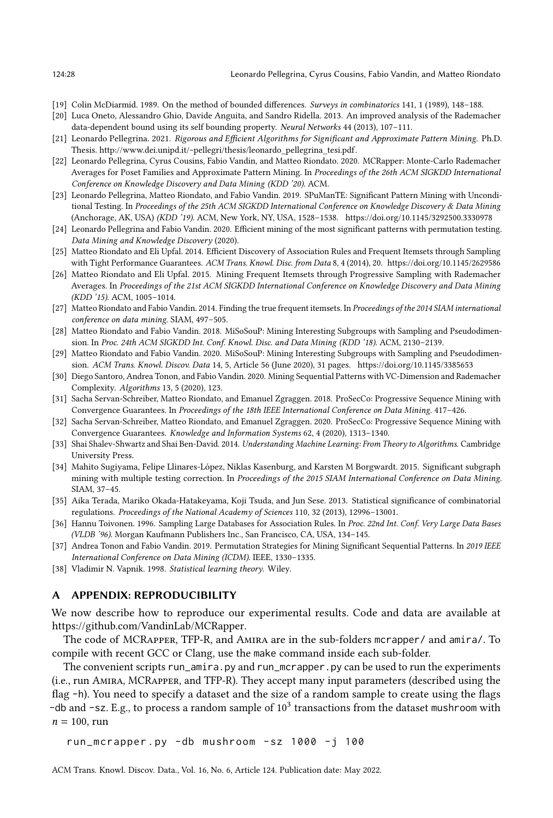- <span id="page-27-17"></span>[19] Colin McDiarmid. 1989. On the method of bounded differences. Surveys in combinatorics 141, 1 (1989), 148–188.
- <span id="page-27-18"></span>[20] Luca Oneto, Alessandro Ghio, Davide Anguita, and Sandro Ridella. 2013. An improved analysis of the Rademacher data-dependent bound using its self bounding property. Neural Networks 44 (2013), 107–111.
- <span id="page-27-16"></span>[21] Leonardo Pellegrina. 2021. Rigorous and Efficient Algorithms for Significant and Approximate Pattern Mining. Ph.D. Thesis. [http://www.dei.unipd.it/~pellegri/thesis/leonardo\\_pellegrina\\_tesi.pdf.](http://www.dei.unipd.it/~pellegri/thesis/leonardo_pellegrina_tesi.pdf)
- <span id="page-27-0"></span>[22] Leonardo Pellegrina, Cyrus Cousins, Fabio Vandin, and Matteo Riondato. 2020. MCRapper: Monte-Carlo Rademacher Averages for Poset Families and Approximate Pattern Mining. In Proceedings of the 26th ACM SIGKDD International Conference on Knowledge Discovery and Data Mining (KDD '20). ACM.
- <span id="page-27-8"></span>[23] Leonardo Pellegrina, Matteo Riondato, and Fabio Vandin. 2019. SPuManTE: Significant Pattern Mining with Unconditional Testing. In Proceedings of the 25th ACM SIGKDD International Conference on Knowledge Discovery & Data Mining (Anchorage, AK, USA) (KDD '19). ACM, New York, NY, USA, 1528–1538.<https://doi.org/10.1145/3292500.3330978>
- <span id="page-27-19"></span>[24] Leonardo Pellegrina and Fabio Vandin. 2020. Efficient mining of the most significant patterns with permutation testing. Data Mining and Knowledge Discovery (2020).
- <span id="page-27-2"></span>[25] Matteo Riondato and Eli Upfal. 2014. Efficient Discovery of Association Rules and Frequent Itemsets through Sampling with Tight Performance Guarantees. ACM Trans. Knowl. Disc. from Data 8, 4 (2014), 20.<https://doi.org/10.1145/2629586>
- <span id="page-27-3"></span>[26] Matteo Riondato and Eli Upfal. 2015. Mining Frequent Itemsets through Progressive Sampling with Rademacher Averages. In Proceedings of the 21st ACM SIGKDD International Conference on Knowledge Discovery and Data Mining (KDD '15). ACM, 1005–1014.
- <span id="page-27-11"></span>[27] Matteo Riondato and Fabio Vandin. 2014. Finding the true frequent itemsets. In Proceedings of the 2014 SIAM international conference on data mining. SIAM, 497–505.
- <span id="page-27-4"></span>[28] Matteo Riondato and Fabio Vandin. 2018. MiSoSouP: Mining Interesting Subgroups with Sampling and Pseudodimension. In Proc. 24th ACM SIGKDD Int. Conf. Knowl. Disc. and Data Mining (KDD '18). ACM, 2130–2139.
- <span id="page-27-12"></span>[29] Matteo Riondato and Fabio Vandin. 2020. MiSoSouP: Mining Interesting Subgroups with Sampling and Pseudodimension. ACM Trans. Knowl. Discov. Data 14, 5, Article 56 (June 2020), 31 pages.<https://doi.org/10.1145/3385653>
- <span id="page-27-13"></span>[30] Diego Santoro, Andrea Tonon, and Fabio Vandin. 2020. Mining Sequential Patterns with VC-Dimension and Rademacher Complexity. Algorithms 13, 5 (2020), 123.
- <span id="page-27-1"></span>[31] Sacha Servan-Schreiber, Matteo Riondato, and Emanuel Zgraggen. 2018. ProSecCo: Progressive Sequence Mining with Convergence Guarantees. In Proceedings of the 18th IEEE International Conference on Data Mining. 417–426.
- <span id="page-27-14"></span>[32] Sacha Servan-Schreiber, Matteo Riondato, and Emanuel Zgraggen. 2020. ProSecCo: Progressive Sequence Mining with Convergence Guarantees. Knowledge and Information Systems 62, 4 (2020), 1313–1340.
- <span id="page-27-15"></span>[33] Shai Shalev-Shwartz and Shai Ben-David. 2014. Understanding Machine Learning: From Theory to Algorithms. Cambridge University Press.
- <span id="page-27-10"></span>[34] Mahito Sugiyama, Felipe Llinares-López, Niklas Kasenburg, and Karsten M Borgwardt. 2015. Significant subgraph mining with multiple testing correction. In Proceedings of the 2015 SIAM International Conference on Data Mining. SIAM, 37–45.
- <span id="page-27-7"></span>[35] Aika Terada, Mariko Okada-Hatakeyama, Koji Tsuda, and Jun Sese. 2013. Statistical significance of combinatorial regulations. Proceedings of the National Academy of Sciences 110, 32 (2013), 12996–13001.
- <span id="page-27-5"></span>[36] Hannu Toivonen. 1996. Sampling Large Databases for Association Rules. In Proc. 22nd Int. Conf. Very Large Data Bases (VLDB '96). Morgan Kaufmann Publishers Inc., San Francisco, CA, USA, 134–145.
- <span id="page-27-9"></span>[37] Andrea Tonon and Fabio Vandin. 2019. Permutation Strategies for Mining Significant Sequential Patterns. In 2019 IEEE International Conference on Data Mining (ICDM). IEEE, 1330–1335.
- <span id="page-27-6"></span>[38] Vladimir N. Vapnik. 1998. Statistical learning theory. Wiley.

## <span id="page-27-20"></span>A APPENDIX: REPRODUCIBILITY

We now describe how to reproduce our experimental results. Code and data are available at [https://github.com/VandinLab/MCRapper.](https://github.com/VandinLab/MCRapper)

The code of MCRapper, TFP-R, and Amira are in the sub-folders mcrapper/ and amira/. To compile with recent GCC or Clang, use the make command inside each sub-folder.

The convenient scripts run\_amira.py and run\_mcrapper.py can be used to run the experiments (i.e., run Amira, MCRapper, and TFP-R). They accept many input parameters (described using the flag -h). You need to specify a dataset and the size of a random sample to create using the flags -db and -sz. E.g., to process a random sample of  $10<sup>3</sup>$  transactions from the dataset mushroom with  $n = 100$ , run

run\_mcrapper . py - db mushroom - sz 1000 -j 100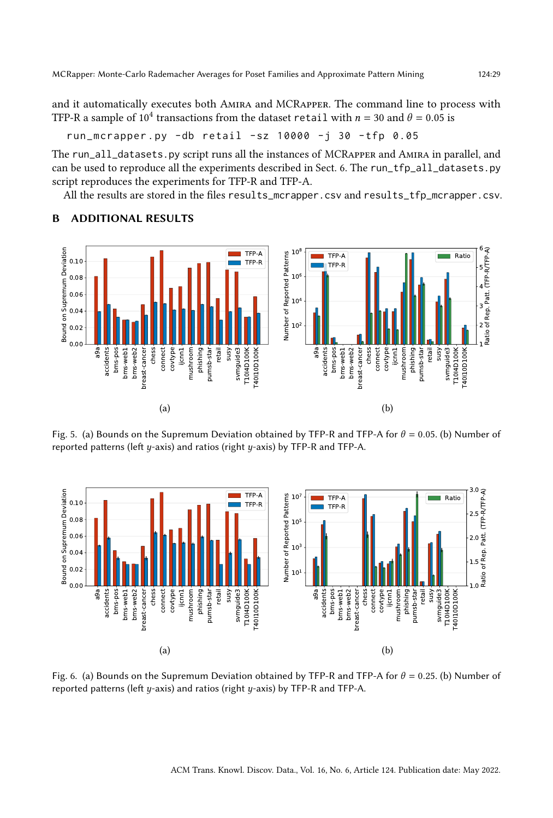and it automatically executes both Amira and MCRapper. The command line to process with TFP-R a sample of  $10^4$  transactions from the dataset retail with  $n = 30$  and  $\theta = 0.05$  is

run\_mcrapper . py - db retail - sz 10000 -j 30 - tfp 0.05

The run\_all\_datasets.py script runs all the instances of MCRapper and Amira in parallel, and can be used to reproduce all the experiments described in Sect. [6.](#page-21-0) The run\_tfp\_all\_datasets.py script reproduces the experiments for TFP-R and TFP-A.

All the results are stored in the files results\_mcrapper.csv and results\_tfp\_mcrapper.csv.



# <span id="page-28-0"></span>B ADDITIONAL RESULTS

Fig. 5. (a) Bounds on the Supremum Deviation obtained by TFP-R and TFP-A for  $\theta = 0.05$ . (b) Number of reported patterns (left  $y$ -axis) and ratios (right  $y$ -axis) by TFP-R and TFP-A.



Fig. 6. (a) Bounds on the Supremum Deviation obtained by TFP-R and TFP-A for  $\theta = 0.25$ . (b) Number of reported patterns (left  $y$ -axis) and ratios (right  $y$ -axis) by TFP-R and TFP-A.